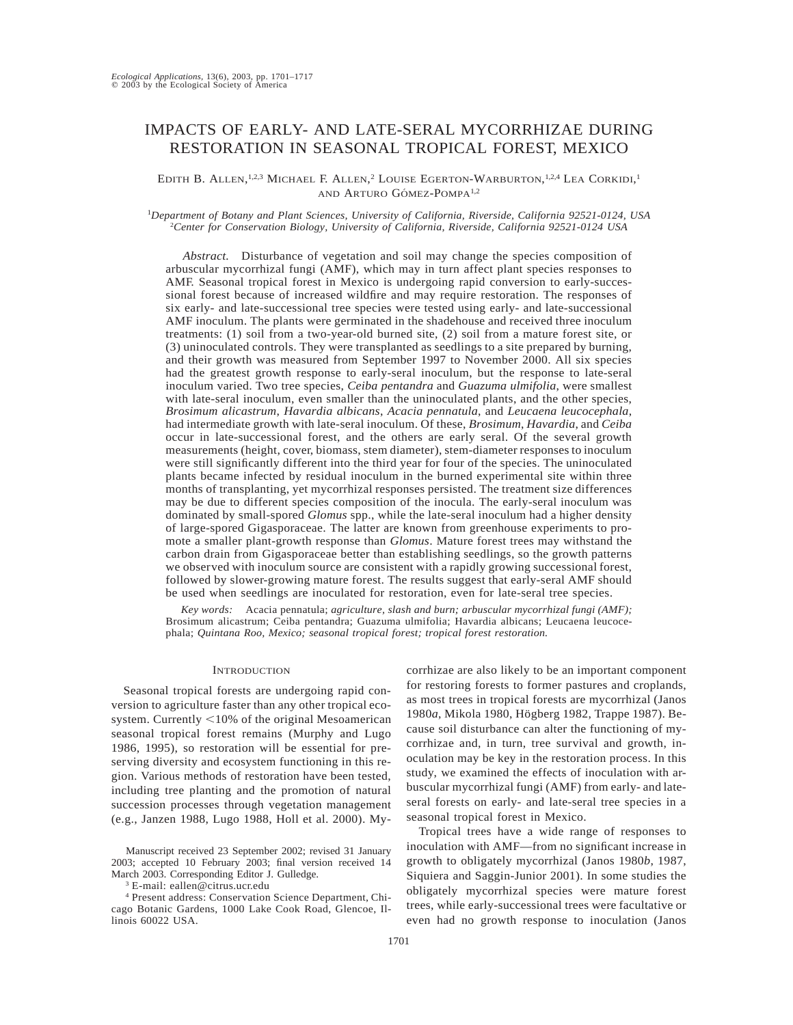# IMPACTS OF EARLY- AND LATE-SERAL MYCORRHIZAE DURING RESTORATION IN SEASONAL TROPICAL FOREST, MEXICO

EDITH B. ALLEN,<sup>1,2,3</sup> MICHAEL F. ALLEN,<sup>2</sup> LOUISE EGERTON-WARBURTON,<sup>1,2,4</sup> LEA CORKIDI,<sup>1</sup> AND ARTURO GÓMEZ-POMPA<sup>1,2</sup>

<sup>1</sup>*Department of Botany and Plant Sciences, University of California, Riverside, California 92521-0124, USA* <sup>2</sup>*Center for Conservation Biology, University of California, Riverside, California 92521-0124 USA*

*Abstract.* Disturbance of vegetation and soil may change the species composition of arbuscular mycorrhizal fungi (AMF), which may in turn affect plant species responses to AMF. Seasonal tropical forest in Mexico is undergoing rapid conversion to early-successional forest because of increased wildfire and may require restoration. The responses of six early- and late-successional tree species were tested using early- and late-successional AMF inoculum. The plants were germinated in the shadehouse and received three inoculum treatments: (1) soil from a two-year-old burned site, (2) soil from a mature forest site, or (3) uninoculated controls. They were transplanted as seedlings to a site prepared by burning, and their growth was measured from September 1997 to November 2000. All six species had the greatest growth response to early-seral inoculum, but the response to late-seral inoculum varied. Two tree species, *Ceiba pentandra* and *Guazuma ulmifolia*, were smallest with late-seral inoculum, even smaller than the uninoculated plants, and the other species, *Brosimum alicastrum*, *Havardia albicans*, *Acacia pennatula*, and *Leucaena leucocephala*, had intermediate growth with late-seral inoculum. Of these, *Brosimum*, *Havardia*, and *Ceiba* occur in late-successional forest, and the others are early seral. Of the several growth measurements (height, cover, biomass, stem diameter), stem-diameter responses to inoculum were still significantly different into the third year for four of the species. The uninoculated plants became infected by residual inoculum in the burned experimental site within three months of transplanting, yet mycorrhizal responses persisted. The treatment size differences may be due to different species composition of the inocula. The early-seral inoculum was dominated by small-spored *Glomus* spp., while the late-seral inoculum had a higher density of large-spored Gigasporaceae. The latter are known from greenhouse experiments to promote a smaller plant-growth response than *Glomus*. Mature forest trees may withstand the carbon drain from Gigasporaceae better than establishing seedlings, so the growth patterns we observed with inoculum source are consistent with a rapidly growing successional forest, followed by slower-growing mature forest. The results suggest that early-seral AMF should be used when seedlings are inoculated for restoration, even for late-seral tree species.

*Key words:* Acacia pennatula; *agriculture, slash and burn; arbuscular mycorrhizal fungi (AMF);* Brosimum alicastrum; Ceiba pentandra; Guazuma ulmifolia; Havardia albicans; Leucaena leucocephala; *Quintana Roo, Mexico; seasonal tropical forest; tropical forest restoration.*

# **INTRODUCTION**

Seasonal tropical forests are undergoing rapid conversion to agriculture faster than any other tropical ecosystem. Currently  $<$ 10% of the original Mesoamerican seasonal tropical forest remains (Murphy and Lugo 1986, 1995), so restoration will be essential for preserving diversity and ecosystem functioning in this region. Various methods of restoration have been tested, including tree planting and the promotion of natural succession processes through vegetation management (e.g., Janzen 1988, Lugo 1988, Holl et al. 2000). My-

Manuscript received 23 September 2002; revised 31 January 2003; accepted 10 February 2003; final version received 14 March 2003. Corresponding Editor J. Gulledge.

<sup>3</sup> E-mail: eallen@citrus.ucr.edu

<sup>4</sup> Present address: Conservation Science Department, Chicago Botanic Gardens, 1000 Lake Cook Road, Glencoe, Illinois 60022 USA.

corrhizae are also likely to be an important component for restoring forests to former pastures and croplands, as most trees in tropical forests are mycorrhizal (Janos 1980*a*, Mikola 1980, Högberg 1982, Trappe 1987). Because soil disturbance can alter the functioning of mycorrhizae and, in turn, tree survival and growth, inoculation may be key in the restoration process. In this study, we examined the effects of inoculation with arbuscular mycorrhizal fungi (AMF) from early- and lateseral forests on early- and late-seral tree species in a seasonal tropical forest in Mexico.

Tropical trees have a wide range of responses to inoculation with AMF—from no significant increase in growth to obligately mycorrhizal (Janos 1980*b*, 1987, Siquiera and Saggin-Junior 2001). In some studies the obligately mycorrhizal species were mature forest trees, while early-successional trees were facultative or even had no growth response to inoculation (Janos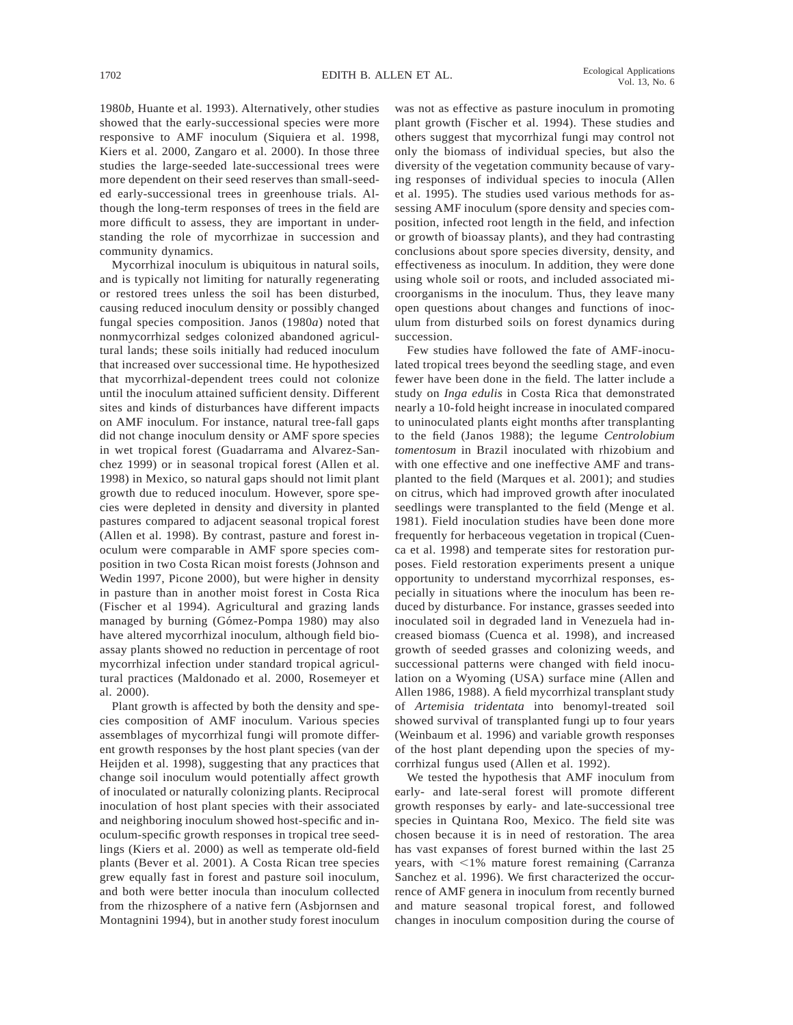1980*b*, Huante et al. 1993). Alternatively, other studies showed that the early-successional species were more responsive to AMF inoculum (Siquiera et al. 1998, Kiers et al. 2000, Zangaro et al. 2000). In those three studies the large-seeded late-successional trees were more dependent on their seed reserves than small-seeded early-successional trees in greenhouse trials. Although the long-term responses of trees in the field are more difficult to assess, they are important in understanding the role of mycorrhizae in succession and community dynamics.

Mycorrhizal inoculum is ubiquitous in natural soils, and is typically not limiting for naturally regenerating or restored trees unless the soil has been disturbed, causing reduced inoculum density or possibly changed fungal species composition. Janos (1980*a*) noted that nonmycorrhizal sedges colonized abandoned agricultural lands; these soils initially had reduced inoculum that increased over successional time. He hypothesized that mycorrhizal-dependent trees could not colonize until the inoculum attained sufficient density. Different sites and kinds of disturbances have different impacts on AMF inoculum. For instance, natural tree-fall gaps did not change inoculum density or AMF spore species in wet tropical forest (Guadarrama and Alvarez-Sanchez 1999) or in seasonal tropical forest (Allen et al. 1998) in Mexico, so natural gaps should not limit plant growth due to reduced inoculum. However, spore species were depleted in density and diversity in planted pastures compared to adjacent seasonal tropical forest (Allen et al. 1998). By contrast, pasture and forest inoculum were comparable in AMF spore species composition in two Costa Rican moist forests (Johnson and Wedin 1997, Picone 2000), but were higher in density in pasture than in another moist forest in Costa Rica (Fischer et al 1994). Agricultural and grazing lands managed by burning (Gómez-Pompa 1980) may also have altered mycorrhizal inoculum, although field bioassay plants showed no reduction in percentage of root mycorrhizal infection under standard tropical agricultural practices (Maldonado et al. 2000, Rosemeyer et al. 2000).

Plant growth is affected by both the density and species composition of AMF inoculum. Various species assemblages of mycorrhizal fungi will promote different growth responses by the host plant species (van der Heijden et al. 1998), suggesting that any practices that change soil inoculum would potentially affect growth of inoculated or naturally colonizing plants. Reciprocal inoculation of host plant species with their associated and neighboring inoculum showed host-specific and inoculum-specific growth responses in tropical tree seedlings (Kiers et al. 2000) as well as temperate old-field plants (Bever et al. 2001). A Costa Rican tree species grew equally fast in forest and pasture soil inoculum, and both were better inocula than inoculum collected from the rhizosphere of a native fern (Asbjornsen and Montagnini 1994), but in another study forest inoculum

was not as effective as pasture inoculum in promoting plant growth (Fischer et al. 1994). These studies and others suggest that mycorrhizal fungi may control not only the biomass of individual species, but also the diversity of the vegetation community because of varying responses of individual species to inocula (Allen et al. 1995). The studies used various methods for assessing AMF inoculum (spore density and species composition, infected root length in the field, and infection or growth of bioassay plants), and they had contrasting conclusions about spore species diversity, density, and effectiveness as inoculum. In addition, they were done using whole soil or roots, and included associated microorganisms in the inoculum. Thus, they leave many open questions about changes and functions of inoculum from disturbed soils on forest dynamics during succession.

Few studies have followed the fate of AMF-inoculated tropical trees beyond the seedling stage, and even fewer have been done in the field. The latter include a study on *Inga edulis* in Costa Rica that demonstrated nearly a 10-fold height increase in inoculated compared to uninoculated plants eight months after transplanting to the field (Janos 1988); the legume *Centrolobium tomentosum* in Brazil inoculated with rhizobium and with one effective and one ineffective AMF and transplanted to the field (Marques et al. 2001); and studies on citrus, which had improved growth after inoculated seedlings were transplanted to the field (Menge et al. 1981). Field inoculation studies have been done more frequently for herbaceous vegetation in tropical (Cuenca et al. 1998) and temperate sites for restoration purposes. Field restoration experiments present a unique opportunity to understand mycorrhizal responses, especially in situations where the inoculum has been reduced by disturbance. For instance, grasses seeded into inoculated soil in degraded land in Venezuela had increased biomass (Cuenca et al. 1998), and increased growth of seeded grasses and colonizing weeds, and successional patterns were changed with field inoculation on a Wyoming (USA) surface mine (Allen and Allen 1986, 1988). A field mycorrhizal transplant study of *Artemisia tridentata* into benomyl-treated soil showed survival of transplanted fungi up to four years (Weinbaum et al. 1996) and variable growth responses of the host plant depending upon the species of mycorrhizal fungus used (Allen et al. 1992).

We tested the hypothesis that AMF inoculum from early- and late-seral forest will promote different growth responses by early- and late-successional tree species in Quintana Roo, Mexico. The field site was chosen because it is in need of restoration. The area has vast expanses of forest burned within the last 25 years, with  $\leq 1\%$  mature forest remaining (Carranza Sanchez et al. 1996). We first characterized the occurrence of AMF genera in inoculum from recently burned and mature seasonal tropical forest, and followed changes in inoculum composition during the course of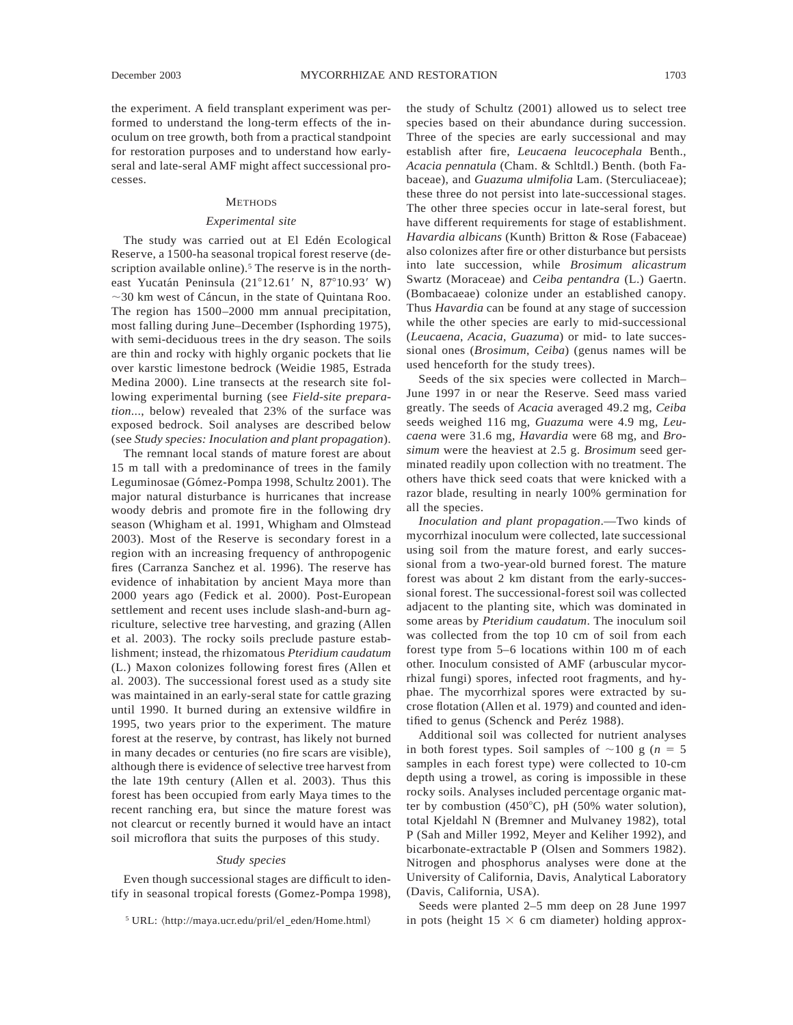#### **METHODS**

## *Experimental site*

The study was carried out at El Edén Ecological Reserve, a 1500-ha seasonal tropical forest reserve (description available online).<sup>5</sup> The reserve is in the northeast Yucatán Peninsula (21°12.61' N, 87°10.93' W)  $\sim$ 30 km west of Cáncun, in the state of Quintana Roo. The region has 1500–2000 mm annual precipitation, most falling during June–December (Isphording 1975), with semi-deciduous trees in the dry season. The soils are thin and rocky with highly organic pockets that lie over karstic limestone bedrock (Weidie 1985, Estrada Medina 2000). Line transects at the research site following experimental burning (see *Field-site preparation*..., below) revealed that 23% of the surface was exposed bedrock. Soil analyses are described below (see *Study species: Inoculation and plant propagation*).

The remnant local stands of mature forest are about 15 m tall with a predominance of trees in the family Leguminosae (Gómez-Pompa 1998, Schultz 2001). The major natural disturbance is hurricanes that increase woody debris and promote fire in the following dry season (Whigham et al. 1991, Whigham and Olmstead 2003). Most of the Reserve is secondary forest in a region with an increasing frequency of anthropogenic fires (Carranza Sanchez et al. 1996). The reserve has evidence of inhabitation by ancient Maya more than 2000 years ago (Fedick et al. 2000). Post-European settlement and recent uses include slash-and-burn agriculture, selective tree harvesting, and grazing (Allen et al. 2003). The rocky soils preclude pasture establishment; instead, the rhizomatous *Pteridium caudatum* (L.) Maxon colonizes following forest fires (Allen et al. 2003). The successional forest used as a study site was maintained in an early-seral state for cattle grazing until 1990. It burned during an extensive wildfire in 1995, two years prior to the experiment. The mature forest at the reserve, by contrast, has likely not burned in many decades or centuries (no fire scars are visible), although there is evidence of selective tree harvest from the late 19th century (Allen et al. 2003). Thus this forest has been occupied from early Maya times to the recent ranching era, but since the mature forest was not clearcut or recently burned it would have an intact soil microflora that suits the purposes of this study.

## *Study species*

Even though successional stages are difficult to identify in seasonal tropical forests (Gomez-Pompa 1998),

the study of Schultz (2001) allowed us to select tree species based on their abundance during succession. Three of the species are early successional and may establish after fire, *Leucaena leucocephala* Benth., *Acacia pennatula* (Cham. & Schltdl.) Benth. (both Fabaceae), and *Guazuma ulmifolia* Lam. (Sterculiaceae); these three do not persist into late-successional stages. The other three species occur in late-seral forest, but have different requirements for stage of establishment. *Havardia albicans* (Kunth) Britton & Rose (Fabaceae) also colonizes after fire or other disturbance but persists into late succession, while *Brosimum alicastrum* Swartz (Moraceae) and *Ceiba pentandra* (L.) Gaertn. (Bombacaeae) colonize under an established canopy. Thus *Havardia* can be found at any stage of succession while the other species are early to mid-successional (*Leucaena*, *Acacia*, *Guazuma*) or mid- to late successional ones (*Brosimum*, *Ceiba*) (genus names will be used henceforth for the study trees).

Seeds of the six species were collected in March– June 1997 in or near the Reserve. Seed mass varied greatly. The seeds of *Acacia* averaged 49.2 mg, *Ceiba* seeds weighed 116 mg, *Guazuma* were 4.9 mg, *Leucaena* were 31.6 mg, *Havardia* were 68 mg, and *Brosimum* were the heaviest at 2.5 g. *Brosimum* seed germinated readily upon collection with no treatment. The others have thick seed coats that were knicked with a razor blade, resulting in nearly 100% germination for all the species.

*Inoculation and plant propagation*.—Two kinds of mycorrhizal inoculum were collected, late successional using soil from the mature forest, and early successional from a two-year-old burned forest. The mature forest was about 2 km distant from the early-successional forest. The successional-forest soil was collected adjacent to the planting site, which was dominated in some areas by *Pteridium caudatum*. The inoculum soil was collected from the top 10 cm of soil from each forest type from 5–6 locations within 100 m of each other. Inoculum consisted of AMF (arbuscular mycorrhizal fungi) spores, infected root fragments, and hyphae. The mycorrhizal spores were extracted by sucrose flotation (Allen et al. 1979) and counted and identified to genus (Schenck and Peréz 1988).

Additional soil was collected for nutrient analyses in both forest types. Soil samples of  $\sim$ 100 g (*n* = 5 samples in each forest type) were collected to 10-cm depth using a trowel, as coring is impossible in these rocky soils. Analyses included percentage organic matter by combustion (450 $^{\circ}$ C), pH (50% water solution), total Kjeldahl N (Bremner and Mulvaney 1982), total P (Sah and Miller 1992, Meyer and Keliher 1992), and bicarbonate-extractable P (Olsen and Sommers 1982). Nitrogen and phosphorus analyses were done at the University of California, Davis, Analytical Laboratory (Davis, California, USA).

Seeds were planted 2–5 mm deep on 28 June 1997 in pots (height  $15 \times 6$  cm diameter) holding approx-

<sup>&</sup>lt;sup>5</sup> URL:  $\langle$ http://maya.ucr.edu/pril/el\_eden/Home.html $\rangle$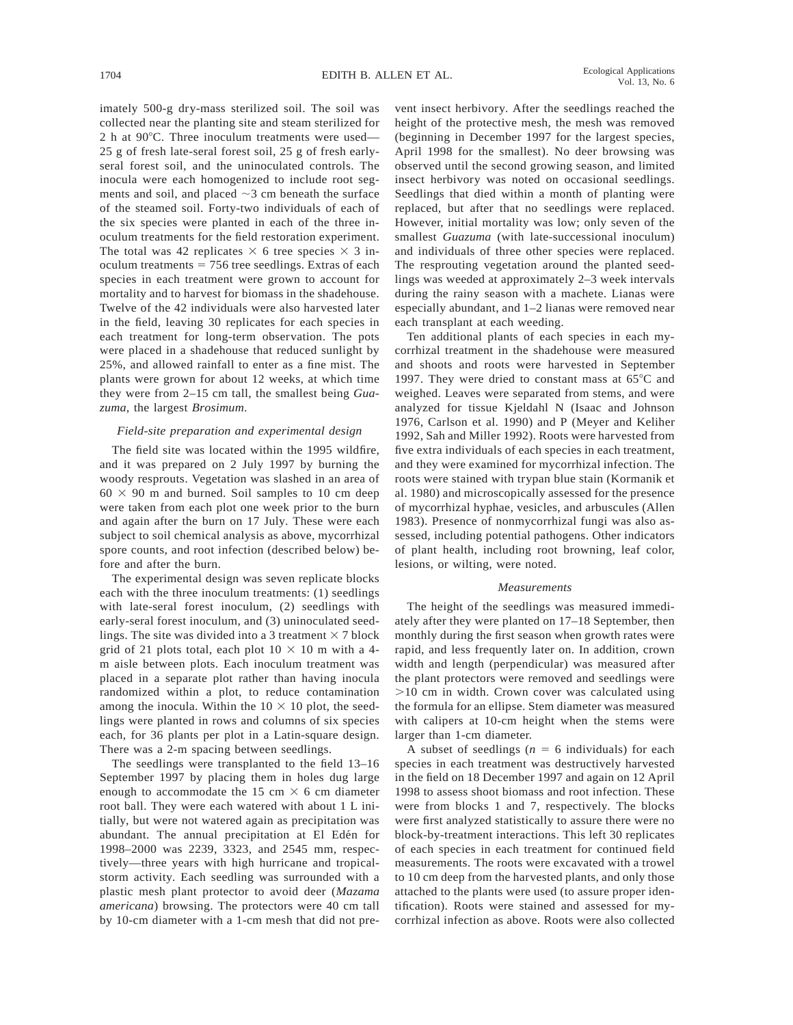imately 500-g dry-mass sterilized soil. The soil was collected near the planting site and steam sterilized for 2 h at  $90^{\circ}$ C. Three inoculum treatments were used— 25 g of fresh late-seral forest soil, 25 g of fresh earlyseral forest soil, and the uninoculated controls. The inocula were each homogenized to include root segments and soil, and placed  $\sim$ 3 cm beneath the surface of the steamed soil. Forty-two individuals of each of the six species were planted in each of the three inoculum treatments for the field restoration experiment. The total was 42 replicates  $\times$  6 tree species  $\times$  3 inoculum treatments  $= 756$  tree seedlings. Extras of each species in each treatment were grown to account for mortality and to harvest for biomass in the shadehouse. Twelve of the 42 individuals were also harvested later in the field, leaving 30 replicates for each species in each treatment for long-term observation. The pots were placed in a shadehouse that reduced sunlight by 25%, and allowed rainfall to enter as a fine mist. The plants were grown for about 12 weeks, at which time they were from 2–15 cm tall, the smallest being *Guazuma*, the largest *Brosimum*.

## *Field-site preparation and experimental design*

The field site was located within the 1995 wildfire, and it was prepared on 2 July 1997 by burning the woody resprouts. Vegetation was slashed in an area of  $60 \times 90$  m and burned. Soil samples to 10 cm deep were taken from each plot one week prior to the burn and again after the burn on 17 July. These were each subject to soil chemical analysis as above, mycorrhizal spore counts, and root infection (described below) before and after the burn.

The experimental design was seven replicate blocks each with the three inoculum treatments: (1) seedlings with late-seral forest inoculum, (2) seedlings with early-seral forest inoculum, and (3) uninoculated seedlings. The site was divided into a 3 treatment  $\times$  7 block grid of 21 plots total, each plot  $10 \times 10$  m with a 4m aisle between plots. Each inoculum treatment was placed in a separate plot rather than having inocula randomized within a plot, to reduce contamination among the inocula. Within the  $10 \times 10$  plot, the seedlings were planted in rows and columns of six species each, for 36 plants per plot in a Latin-square design. There was a 2-m spacing between seedlings.

The seedlings were transplanted to the field 13–16 September 1997 by placing them in holes dug large enough to accommodate the 15 cm  $\times$  6 cm diameter root ball. They were each watered with about 1 L initially, but were not watered again as precipitation was abundant. The annual precipitation at El Edén for 1998–2000 was 2239, 3323, and 2545 mm, respectively—three years with high hurricane and tropicalstorm activity. Each seedling was surrounded with a plastic mesh plant protector to avoid deer (*Mazama americana*) browsing. The protectors were 40 cm tall by 10-cm diameter with a 1-cm mesh that did not pre-

vent insect herbivory. After the seedlings reached the height of the protective mesh, the mesh was removed (beginning in December 1997 for the largest species, April 1998 for the smallest). No deer browsing was observed until the second growing season, and limited insect herbivory was noted on occasional seedlings. Seedlings that died within a month of planting were replaced, but after that no seedlings were replaced. However, initial mortality was low; only seven of the smallest *Guazuma* (with late-successional inoculum) and individuals of three other species were replaced. The resprouting vegetation around the planted seedlings was weeded at approximately 2–3 week intervals during the rainy season with a machete. Lianas were especially abundant, and 1–2 lianas were removed near each transplant at each weeding.

Ten additional plants of each species in each mycorrhizal treatment in the shadehouse were measured and shoots and roots were harvested in September 1997. They were dried to constant mass at  $65^{\circ}$ C and weighed. Leaves were separated from stems, and were analyzed for tissue Kjeldahl N (Isaac and Johnson 1976, Carlson et al. 1990) and P (Meyer and Keliher 1992, Sah and Miller 1992). Roots were harvested from five extra individuals of each species in each treatment, and they were examined for mycorrhizal infection. The roots were stained with trypan blue stain (Kormanik et al. 1980) and microscopically assessed for the presence of mycorrhizal hyphae, vesicles, and arbuscules (Allen 1983). Presence of nonmycorrhizal fungi was also assessed, including potential pathogens. Other indicators of plant health, including root browning, leaf color, lesions, or wilting, were noted.

## *Measurements*

The height of the seedlings was measured immediately after they were planted on 17–18 September, then monthly during the first season when growth rates were rapid, and less frequently later on. In addition, crown width and length (perpendicular) was measured after the plant protectors were removed and seedlings were  $>10$  cm in width. Crown cover was calculated using the formula for an ellipse. Stem diameter was measured with calipers at 10-cm height when the stems were larger than 1-cm diameter.

A subset of seedlings  $(n = 6 \text{ individuals})$  for each species in each treatment was destructively harvested in the field on 18 December 1997 and again on 12 April 1998 to assess shoot biomass and root infection. These were from blocks 1 and 7, respectively. The blocks were first analyzed statistically to assure there were no block-by-treatment interactions. This left 30 replicates of each species in each treatment for continued field measurements. The roots were excavated with a trowel to 10 cm deep from the harvested plants, and only those attached to the plants were used (to assure proper identification). Roots were stained and assessed for mycorrhizal infection as above. Roots were also collected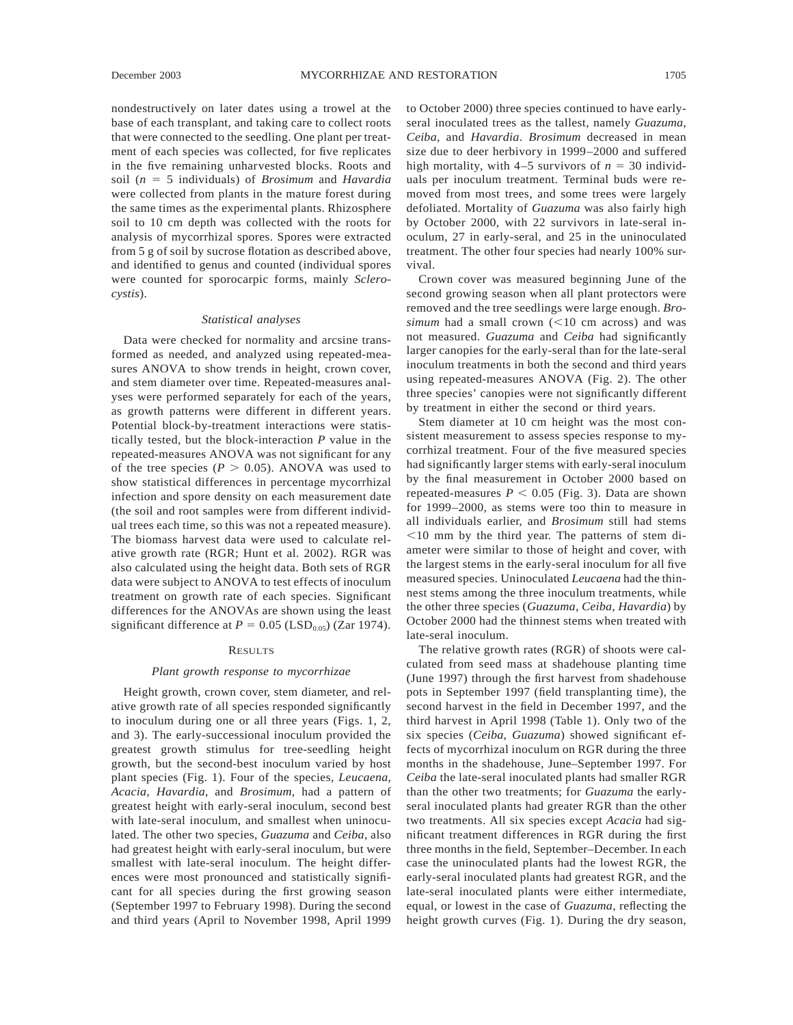*cystis*).

nondestructively on later dates using a trowel at the base of each transplant, and taking care to collect roots that were connected to the seedling. One plant per treatment of each species was collected, for five replicates in the five remaining unharvested blocks. Roots and soil (*n* 5 5 individuals) of *Brosimum* and *Havardia* were collected from plants in the mature forest during the same times as the experimental plants. Rhizosphere soil to 10 cm depth was collected with the roots for analysis of mycorrhizal spores. Spores were extracted from 5 g of soil by sucrose flotation as described above, and identified to genus and counted (individual spores were counted for sporocarpic forms, mainly *Sclero-*

# *Statistical analyses*

Data were checked for normality and arcsine transformed as needed, and analyzed using repeated-measures ANOVA to show trends in height, crown cover, and stem diameter over time. Repeated-measures analyses were performed separately for each of the years, as growth patterns were different in different years. Potential block-by-treatment interactions were statistically tested, but the block-interaction *P* value in the repeated-measures ANOVA was not significant for any of the tree species ( $P > 0.05$ ). ANOVA was used to show statistical differences in percentage mycorrhizal infection and spore density on each measurement date (the soil and root samples were from different individual trees each time, so this was not a repeated measure). The biomass harvest data were used to calculate relative growth rate (RGR; Hunt et al. 2002). RGR was also calculated using the height data. Both sets of RGR data were subject to ANOVA to test effects of inoculum treatment on growth rate of each species. Significant differences for the ANOVAs are shown using the least significant difference at  $P = 0.05$  (LSD<sub>0.05</sub>) (Zar 1974).

## RESULTS

#### *Plant growth response to mycorrhizae*

Height growth, crown cover, stem diameter, and relative growth rate of all species responded significantly to inoculum during one or all three years (Figs. 1, 2, and 3). The early-successional inoculum provided the greatest growth stimulus for tree-seedling height growth, but the second-best inoculum varied by host plant species (Fig. 1). Four of the species, *Leucaena*, *Acacia*, *Havardia*, and *Brosimum*, had a pattern of greatest height with early-seral inoculum, second best with late-seral inoculum, and smallest when uninoculated. The other two species, *Guazuma* and *Ceiba*, also had greatest height with early-seral inoculum, but were smallest with late-seral inoculum. The height differences were most pronounced and statistically significant for all species during the first growing season (September 1997 to February 1998). During the second and third years (April to November 1998, April 1999

to October 2000) three species continued to have earlyseral inoculated trees as the tallest, namely *Guazuma*, *Ceiba*, and *Havardia*. *Brosimum* decreased in mean size due to deer herbivory in 1999–2000 and suffered high mortality, with  $4-5$  survivors of  $n = 30$  individuals per inoculum treatment. Terminal buds were removed from most trees, and some trees were largely defoliated. Mortality of *Guazuma* was also fairly high by October 2000, with 22 survivors in late-seral inoculum, 27 in early-seral, and 25 in the uninoculated treatment. The other four species had nearly 100% survival.

Crown cover was measured beginning June of the second growing season when all plant protectors were removed and the tree seedlings were large enough. *Bro* $simum$  had a small crown  $(<10$  cm across) and was not measured. *Guazuma* and *Ceiba* had significantly larger canopies for the early-seral than for the late-seral inoculum treatments in both the second and third years using repeated-measures ANOVA (Fig. 2). The other three species' canopies were not significantly different by treatment in either the second or third years.

Stem diameter at 10 cm height was the most consistent measurement to assess species response to mycorrhizal treatment. Four of the five measured species had significantly larger stems with early-seral inoculum by the final measurement in October 2000 based on repeated-measures  $P < 0.05$  (Fig. 3). Data are shown for 1999–2000, as stems were too thin to measure in all individuals earlier, and *Brosimum* still had stems  $\leq$ 10 mm by the third year. The patterns of stem diameter were similar to those of height and cover, with the largest stems in the early-seral inoculum for all five measured species. Uninoculated *Leucaena* had the thinnest stems among the three inoculum treatments, while the other three species (*Guazuma*, *Ceiba*, *Havardia*) by October 2000 had the thinnest stems when treated with late-seral inoculum.

The relative growth rates (RGR) of shoots were calculated from seed mass at shadehouse planting time (June 1997) through the first harvest from shadehouse pots in September 1997 (field transplanting time), the second harvest in the field in December 1997, and the third harvest in April 1998 (Table 1). Only two of the six species (*Ceiba*, *Guazuma*) showed significant effects of mycorrhizal inoculum on RGR during the three months in the shadehouse, June–September 1997. For *Ceiba* the late-seral inoculated plants had smaller RGR than the other two treatments; for *Guazuma* the earlyseral inoculated plants had greater RGR than the other two treatments. All six species except *Acacia* had significant treatment differences in RGR during the first three months in the field, September–December. In each case the uninoculated plants had the lowest RGR, the early-seral inoculated plants had greatest RGR, and the late-seral inoculated plants were either intermediate, equal, or lowest in the case of *Guazuma*, reflecting the height growth curves (Fig. 1). During the dry season,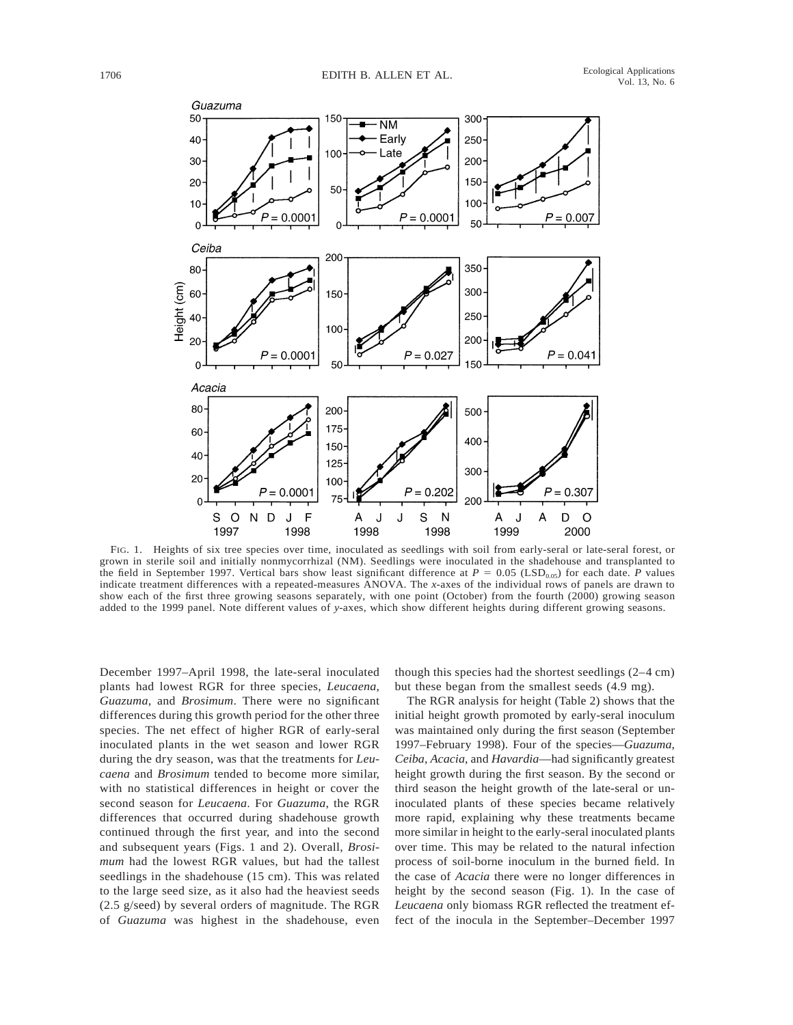

FIG. 1. Heights of six tree species over time, inoculated as seedlings with soil from early-seral or late-seral forest, or grown in sterile soil and initially nonmycorrhizal (NM). Seedlings were inoculated in the shadehouse and transplanted to the field in September 1997. Vertical bars show least significant difference at  $P = 0.05$  (LSD<sub>0.05</sub>) for each date. *P* values indicate treatment differences with a repeated-measures ANOVA. The *x*-axes of the individual rows of panels are drawn to show each of the first three growing seasons separately, with one point (October) from the fourth (2000) growing season added to the 1999 panel. Note different values of *y*-axes, which show different heights during different growing seasons.

December 1997–April 1998, the late-seral inoculated plants had lowest RGR for three species, *Leucaena*, *Guazuma*, and *Brosimum*. There were no significant differences during this growth period for the other three species. The net effect of higher RGR of early-seral inoculated plants in the wet season and lower RGR during the dry season, was that the treatments for *Leucaena* and *Brosimum* tended to become more similar, with no statistical differences in height or cover the second season for *Leucaena*. For *Guazuma*, the RGR differences that occurred during shadehouse growth continued through the first year, and into the second and subsequent years (Figs. 1 and 2). Overall, *Brosimum* had the lowest RGR values, but had the tallest seedlings in the shadehouse (15 cm). This was related to the large seed size, as it also had the heaviest seeds (2.5 g/seed) by several orders of magnitude. The RGR of *Guazuma* was highest in the shadehouse, even though this species had the shortest seedlings (2–4 cm) but these began from the smallest seeds (4.9 mg).

The RGR analysis for height (Table 2) shows that the initial height growth promoted by early-seral inoculum was maintained only during the first season (September 1997–February 1998). Four of the species—*Guazuma*, *Ceiba*, *Acacia*, and *Havardia*—had significantly greatest height growth during the first season. By the second or third season the height growth of the late-seral or uninoculated plants of these species became relatively more rapid, explaining why these treatments became more similar in height to the early-seral inoculated plants over time. This may be related to the natural infection process of soil-borne inoculum in the burned field. In the case of *Acacia* there were no longer differences in height by the second season (Fig. 1). In the case of *Leucaena* only biomass RGR reflected the treatment effect of the inocula in the September–December 1997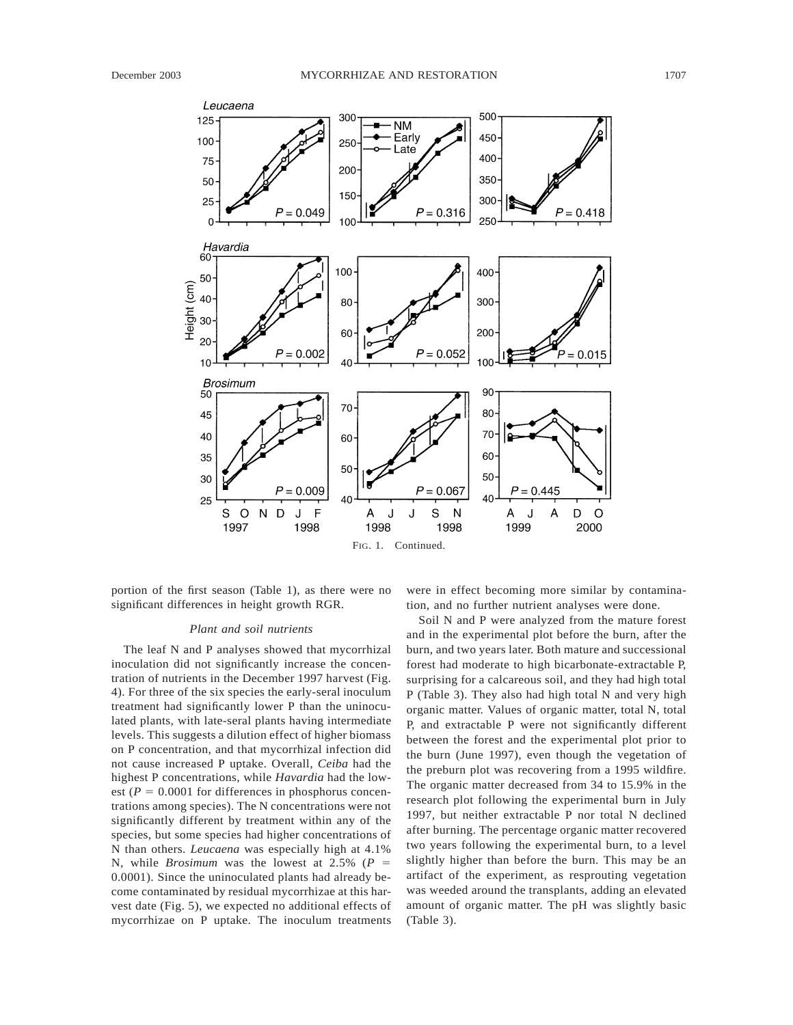

portion of the first season (Table 1), as there were no significant differences in height growth RGR.

# *Plant and soil nutrients*

The leaf N and P analyses showed that mycorrhizal inoculation did not significantly increase the concentration of nutrients in the December 1997 harvest (Fig. 4). For three of the six species the early-seral inoculum treatment had significantly lower P than the uninoculated plants, with late-seral plants having intermediate levels. This suggests a dilution effect of higher biomass on P concentration, and that mycorrhizal infection did not cause increased P uptake. Overall, *Ceiba* had the highest P concentrations, while *Havardia* had the lowest ( $P = 0.0001$  for differences in phosphorus concentrations among species). The N concentrations were not significantly different by treatment within any of the species, but some species had higher concentrations of N than others. *Leucaena* was especially high at 4.1% N, while *Brosimum* was the lowest at 2.5% ( $P =$ 0.0001). Since the uninoculated plants had already become contaminated by residual mycorrhizae at this harvest date (Fig. 5), we expected no additional effects of mycorrhizae on P uptake. The inoculum treatments

were in effect becoming more similar by contamination, and no further nutrient analyses were done.

Soil N and P were analyzed from the mature forest and in the experimental plot before the burn, after the burn, and two years later. Both mature and successional forest had moderate to high bicarbonate-extractable P, surprising for a calcareous soil, and they had high total P (Table 3). They also had high total N and very high organic matter. Values of organic matter, total N, total P, and extractable P were not significantly different between the forest and the experimental plot prior to the burn (June 1997), even though the vegetation of the preburn plot was recovering from a 1995 wildfire. The organic matter decreased from 34 to 15.9% in the research plot following the experimental burn in July 1997, but neither extractable P nor total N declined after burning. The percentage organic matter recovered two years following the experimental burn, to a level slightly higher than before the burn. This may be an artifact of the experiment, as resprouting vegetation was weeded around the transplants, adding an elevated amount of organic matter. The pH was slightly basic (Table 3).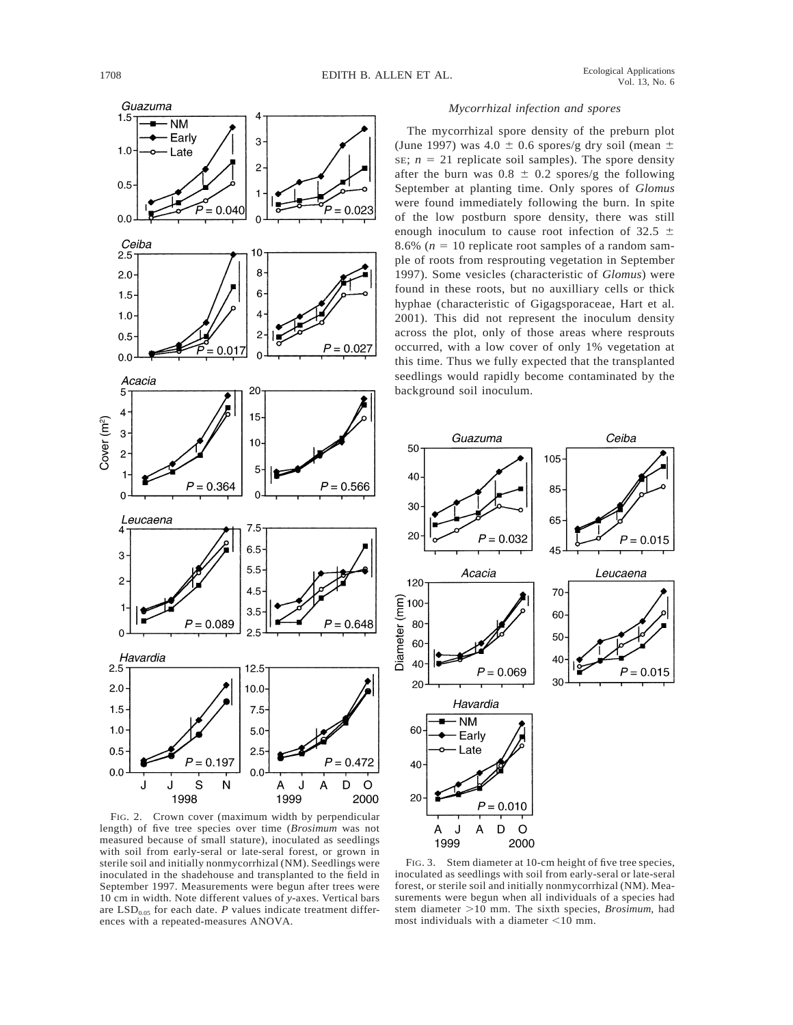

# *Mycorrhizal infection and spores*

The mycorrhizal spore density of the preburn plot (June 1997) was  $4.0 \pm 0.6$  spores/g dry soil (mean  $\pm$ SE;  $n = 21$  replicate soil samples). The spore density after the burn was  $0.8 \pm 0.2$  spores/g the following September at planting time. Only spores of *Glomus* were found immediately following the burn. In spite of the low postburn spore density, there was still enough inoculum to cause root infection of 32.5  $\pm$ 8.6% ( $n = 10$  replicate root samples of a random sample of roots from resprouting vegetation in September 1997). Some vesicles (characteristic of *Glomus*) were found in these roots, but no auxilliary cells or thick hyphae (characteristic of Gigagsporaceae, Hart et al. 2001). This did not represent the inoculum density across the plot, only of those areas where resprouts occurred, with a low cover of only 1% vegetation at this time. Thus we fully expected that the transplanted seedlings would rapidly become contaminated by the background soil inoculum.



FIG. 2. Crown cover (maximum width by perpendicular length) of five tree species over time (*Brosimum* was not measured because of small stature), inoculated as seedlings with soil from early-seral or late-seral forest, or grown in sterile soil and initially nonmycorrhizal (NM). Seedlings were inoculated in the shadehouse and transplanted to the field in September 1997. Measurements were begun after trees were 10 cm in width. Note different values of *y*-axes. Vertical bars are  $LSD<sub>0.05</sub>$  for each date. *P* values indicate treatment differences with a repeated-measures ANOVA.

FIG. 3. Stem diameter at 10-cm height of five tree species, inoculated as seedlings with soil from early-seral or late-seral forest, or sterile soil and initially nonmycorrhizal (NM). Measurements were begun when all individuals of a species had stem diameter >10 mm. The sixth species, *Brosimum*, had most individuals with a diameter  $\leq 10$  mm.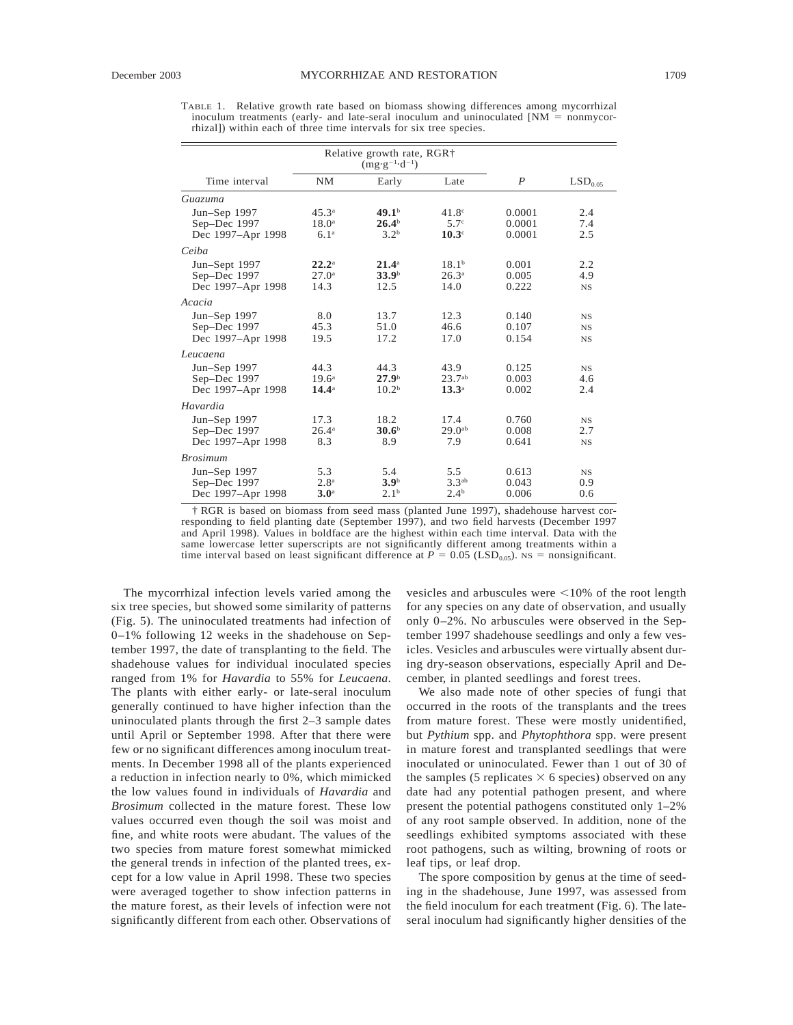TABLE 1. Relative growth rate based on biomass showing differences among mycorrhizal inoculum treatments (early- and late-seral inoculum and uninoculated  $[NM = nonmycor$ rhizal]) within each of three time intervals for six tree species.

| Time interval     | <b>NM</b>         | Early             | Late               | $\boldsymbol{P}$ | $\mathrm{LSD}_{0.05}$ |
|-------------------|-------------------|-------------------|--------------------|------------------|-----------------------|
| Guazuma           |                   |                   |                    |                  |                       |
| Jun-Sep 1997      | 45.3 <sup>a</sup> | 49.1 <sup>b</sup> | 41.8 <sup>c</sup>  | 0.0001           | 2.4                   |
| Sep-Dec 1997      | 18.0 <sup>a</sup> | 26.4 <sup>b</sup> | 5.7 <sup>c</sup>   | 0.0001           | 7.4                   |
| Dec 1997-Apr 1998 | 6.1 <sup>a</sup>  | 3.2 <sup>b</sup>  | $10.3^\circ$       | 0.0001           | 2.5                   |
| Ceiba             |                   |                   |                    |                  |                       |
| Jun-Sept 1997     | $22.2^{\rm a}$    | $21.4^{\rm a}$    | 18.1 <sup>b</sup>  | 0.001            | 2.2                   |
| Sep-Dec 1997      | 27.0 <sup>a</sup> | 33.9 <sup>b</sup> | $26.3^{\circ}$     | 0.005            | 4.9                   |
| Dec 1997-Apr 1998 | 14.3              | 12.5              | 14.0               | 0.222            | $_{\rm NS}$           |
| Acacia            |                   |                   |                    |                  |                       |
| Jun-Sep 1997      | 8.0               | 13.7              | 12.3               | 0.140            | $_{\rm NS}$           |
| Sep-Dec 1997      | 45.3              | 51.0              | 46.6               | 0.107            | $_{\rm NS}$           |
| Dec 1997-Apr 1998 | 19.5              | 17.2              | 17.0               | 0.154            | $_{\rm NS}$           |
| Leucaena          |                   |                   |                    |                  |                       |
| Jun-Sep 1997      | 44.3              | 44.3              | 43.9               | 0.125            | $_{\rm NS}$           |
| Sep-Dec 1997      | 19.6 <sup>a</sup> | 27.9 <sup>b</sup> | 23.7 <sup>ab</sup> | 0.003            | 4.6                   |
| Dec 1997-Apr 1998 | $14.4^{\circ}$    | 10.2 <sup>b</sup> | $13.3^{\circ}$     | 0.002            | 2.4                   |
| Havardia          |                   |                   |                    |                  |                       |
| Jun-Sep 1997      | 17.3              | 18.2              | 17.4               | 0.760            | $_{\rm NS}$           |
| Sep-Dec 1997      | $26.4^{\rm a}$    | 30.6 <sup>b</sup> | $29.0^{ab}$        | 0.008            | 2.7                   |
| Dec 1997-Apr 1998 | 8.3               | 8.9               | 7.9                | 0.641            | $_{\rm NS}$           |
| <b>Brosimum</b>   |                   |                   |                    |                  |                       |
| Jun-Sep 1997      | 5.3               | 5.4               | 5.5                | 0.613            | $_{\rm NS}$           |
| Sep-Dec 1997      | 2.8 <sup>a</sup>  | 3.9 <sup>b</sup>  | 3.3 <sup>ab</sup>  | 0.043            | 0.9                   |
| Dec 1997–Apr 1998 | 3.0 <sup>a</sup>  | 2.1 <sup>b</sup>  | 2.4 <sup>b</sup>   | 0.006            | 0.6                   |

† RGR is based on biomass from seed mass (planted June 1997), shadehouse harvest corresponding to field planting date (September 1997), and two field harvests (December 1997 and April 1998). Values in boldface are the highest within each time interval. Data with the same lowercase letter superscripts are not significantly different among treatments within a time interval based on least significant difference at  $P = 0.05$  (LSD<sub>0.05</sub>). NS = nonsignificant.

The mycorrhizal infection levels varied among the six tree species, but showed some similarity of patterns (Fig. 5). The uninoculated treatments had infection of 0–1% following 12 weeks in the shadehouse on September 1997, the date of transplanting to the field. The shadehouse values for individual inoculated species ranged from 1% for *Havardia* to 55% for *Leucaena*. The plants with either early- or late-seral inoculum generally continued to have higher infection than the uninoculated plants through the first 2–3 sample dates until April or September 1998. After that there were few or no significant differences among inoculum treatments. In December 1998 all of the plants experienced a reduction in infection nearly to 0%, which mimicked the low values found in individuals of *Havardia* and *Brosimum* collected in the mature forest. These low values occurred even though the soil was moist and fine, and white roots were abudant. The values of the two species from mature forest somewhat mimicked the general trends in infection of the planted trees, except for a low value in April 1998. These two species were averaged together to show infection patterns in the mature forest, as their levels of infection were not significantly different from each other. Observations of

vesicles and arbuscules were  $\leq 10\%$  of the root length for any species on any date of observation, and usually only 0–2%. No arbuscules were observed in the September 1997 shadehouse seedlings and only a few vesicles. Vesicles and arbuscules were virtually absent during dry-season observations, especially April and December, in planted seedlings and forest trees.

We also made note of other species of fungi that occurred in the roots of the transplants and the trees from mature forest. These were mostly unidentified, but *Pythium* spp. and *Phytophthora* spp. were present in mature forest and transplanted seedlings that were inoculated or uninoculated. Fewer than 1 out of 30 of the samples (5 replicates  $\times$  6 species) observed on any date had any potential pathogen present, and where present the potential pathogens constituted only 1–2% of any root sample observed. In addition, none of the seedlings exhibited symptoms associated with these root pathogens, such as wilting, browning of roots or leaf tips, or leaf drop.

The spore composition by genus at the time of seeding in the shadehouse, June 1997, was assessed from the field inoculum for each treatment (Fig. 6). The lateseral inoculum had significantly higher densities of the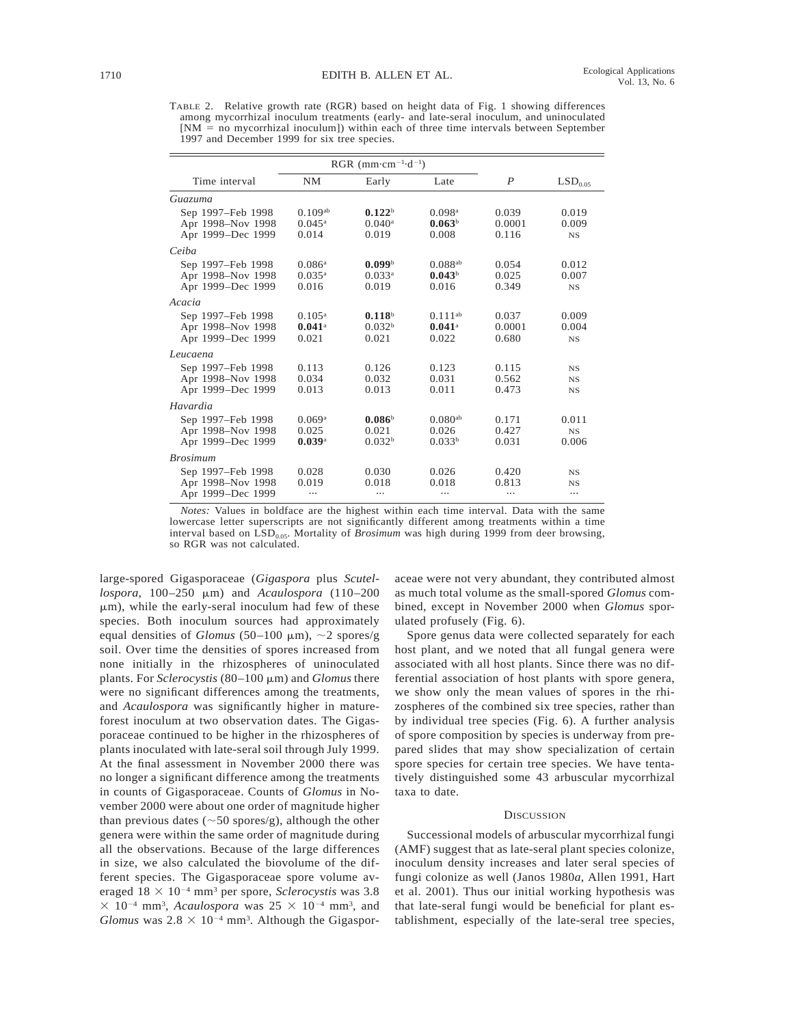TABLE 2. Relative growth rate (RGR) based on height data of Fig. 1 showing differences among mycorrhizal inoculum treatments (early- and late-seral inoculum, and uninoculated  $[NM = no$  mycorrhizal inoculum]) within each of three time intervals between September 1997 and December 1999 for six tree species.

|                                                             | RGR (mm $\cdot$ cm <sup><math>-1</math></sup> ·d <sup><math>-1</math></sup> ) |                                                     |                                                     |                            |                                 |
|-------------------------------------------------------------|-------------------------------------------------------------------------------|-----------------------------------------------------|-----------------------------------------------------|----------------------------|---------------------------------|
| Time interval                                               | <b>NM</b>                                                                     | Early                                               | Late                                                | $\boldsymbol{P}$           | $\mathrm{LSD}_{0.05}$           |
| Guazuma                                                     |                                                                               |                                                     |                                                     |                            |                                 |
| Sep 1997–Feb 1998<br>Apr 1998-Nov 1998<br>Apr 1999-Dec 1999 | 0.109a <sub>b</sub><br>$0.045^{\rm a}$<br>0.014                               | 0.122 <sup>b</sup><br>$0.040$ <sup>a</sup><br>0.019 | $0.098$ <sup>a</sup><br>0.063 <sup>b</sup><br>0.008 | 0.039<br>0.0001<br>0.116   | 0.019<br>0.009<br>$_{NS}$       |
| Ceiba                                                       |                                                                               |                                                     |                                                     |                            |                                 |
| Sep 1997-Feb 1998<br>Apr 1998-Nov 1998<br>Apr 1999–Dec 1999 | $0.086$ <sup>a</sup><br>$0.035^{\rm a}$<br>0.016                              | 0.099 <sup>b</sup><br>$0.033^{a}$<br>0.019          | $0.088^{ab}$<br>0.043 <sup>b</sup><br>0.016         | 0.054<br>0.025<br>0.349    | 0.012<br>0.007<br><b>NS</b>     |
| Acacia                                                      |                                                                               |                                                     |                                                     |                            |                                 |
| Sep 1997–Feb 1998<br>Apr 1998-Nov 1998<br>Apr 1999-Dec 1999 | $0.105^{\rm a}$<br>$0.041$ <sup>a</sup><br>0.021                              | 0.118 <sup>b</sup><br>0.032 <sup>b</sup><br>0.021   | $0.111^{ab}$<br>$0.041$ <sup>a</sup><br>0.022       | 0.037<br>0.0001<br>0.680   | 0.009<br>0.004<br>$_{NS}$       |
| Leucaena                                                    |                                                                               |                                                     |                                                     |                            |                                 |
| Sep 1997-Feb 1998<br>Apr 1998-Nov 1998<br>Apr 1999-Dec 1999 | 0.113<br>0.034<br>0.013                                                       | 0.126<br>0.032<br>0.013                             | 0.123<br>0.031<br>0.011                             | 0.115<br>0.562<br>0.473    | $_{NS}$<br>$_{NS}$<br><b>NS</b> |
| Havardia                                                    |                                                                               |                                                     |                                                     |                            |                                 |
| Sep 1997-Feb 1998<br>Apr 1998-Nov 1998<br>Apr 1999–Dec 1999 | 0.069a<br>0.025<br>0.039a                                                     | 0.086 <sup>b</sup><br>0.021<br>0.032 <sup>b</sup>   | $0.080^{ab}$<br>0.026<br>0.033 <sup>b</sup>         | 0.171<br>0.427<br>0.031    | 0.011<br><b>NS</b><br>0.006     |
| <b>Brosimum</b>                                             |                                                                               |                                                     |                                                     |                            |                                 |
| Sep 1997-Feb 1998<br>Apr 1998-Nov 1998<br>Apr 1999–Dec 1999 | 0.028<br>0.019<br>                                                            | 0.030<br>0.018<br>                                  | 0.026<br>0.018<br>                                  | 0.420<br>0.813<br>$\cdots$ | $_{NS}$<br>$_{NS}$<br>          |

*Notes:* Values in boldface are the highest within each time interval. Data with the same lowercase letter superscripts are not significantly different among treatments within a time interval based on LSD<sub>0.05</sub>. Mortality of *Brosimum* was high during 1999 from deer browsing, so RGR was not calculated.

large-spored Gigasporaceae (*Gigaspora* plus *Scutellospora*, 100–250 mm) and *Acaulospora* (110–200  $\mu$ m), while the early-seral inoculum had few of these species. Both inoculum sources had approximately equal densities of *Glomus* (50–100  $\mu$ m),  $\sim$ 2 spores/g soil. Over time the densities of spores increased from none initially in the rhizospheres of uninoculated plants. For *Sclerocystis* (80–100 μm) and *Glomus* there were no significant differences among the treatments, and *Acaulospora* was significantly higher in matureforest inoculum at two observation dates. The Gigasporaceae continued to be higher in the rhizospheres of plants inoculated with late-seral soil through July 1999. At the final assessment in November 2000 there was no longer a significant difference among the treatments in counts of Gigasporaceae. Counts of *Glomus* in November 2000 were about one order of magnitude higher than previous dates ( $\sim$ 50 spores/g), although the other genera were within the same order of magnitude during all the observations. Because of the large differences in size, we also calculated the biovolume of the different species. The Gigasporaceae spore volume averaged  $18 \times 10^{-4}$  mm<sup>3</sup> per spore, *Sclerocystis* was 3.8  $\times$  10<sup>-4</sup> mm<sup>3</sup>, *Acaulospora* was 25  $\times$  10<sup>-4</sup> mm<sup>3</sup>, and Glomus was  $2.8 \times 10^{-4}$  mm<sup>3</sup>. Although the Gigasporaceae were not very abundant, they contributed almost as much total volume as the small-spored *Glomus* combined, except in November 2000 when *Glomus* sporulated profusely (Fig. 6).

Spore genus data were collected separately for each host plant, and we noted that all fungal genera were associated with all host plants. Since there was no differential association of host plants with spore genera, we show only the mean values of spores in the rhizospheres of the combined six tree species, rather than by individual tree species (Fig. 6). A further analysis of spore composition by species is underway from prepared slides that may show specialization of certain spore species for certain tree species. We have tentatively distinguished some 43 arbuscular mycorrhizal taxa to date.

## **DISCUSSION**

Successional models of arbuscular mycorrhizal fungi (AMF) suggest that as late-seral plant species colonize, inoculum density increases and later seral species of fungi colonize as well (Janos 1980*a*, Allen 1991, Hart et al. 2001). Thus our initial working hypothesis was that late-seral fungi would be beneficial for plant establishment, especially of the late-seral tree species,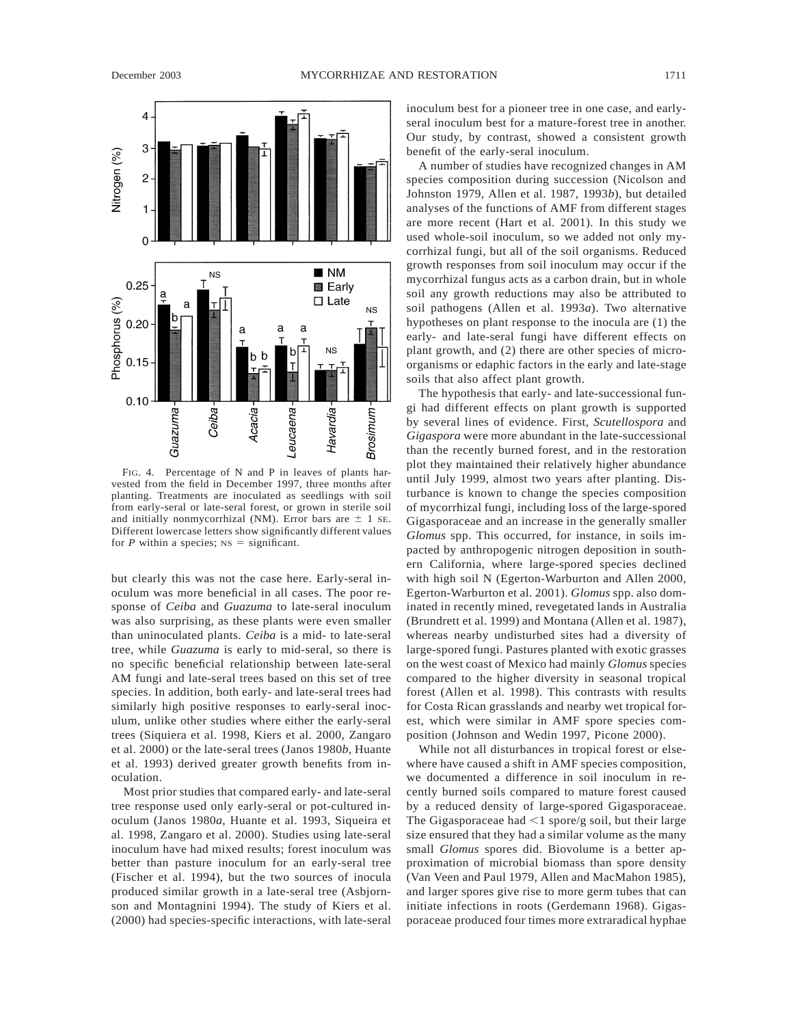

FIG. 4. Percentage of N and P in leaves of plants harvested from the field in December 1997, three months after planting. Treatments are inoculated as seedlings with soil from early-seral or late-seral forest, or grown in sterile soil and initially nonmycorrhizal (NM). Error bars are  $\pm$  1 se. Different lowercase letters show significantly different values for *P* within a species;  $NS =$  significant.

but clearly this was not the case here. Early-seral inoculum was more beneficial in all cases. The poor response of *Ceiba* and *Guazuma* to late-seral inoculum was also surprising, as these plants were even smaller than uninoculated plants. *Ceiba* is a mid- to late-seral tree, while *Guazuma* is early to mid-seral, so there is no specific beneficial relationship between late-seral AM fungi and late-seral trees based on this set of tree species. In addition, both early- and late-seral trees had similarly high positive responses to early-seral inoculum, unlike other studies where either the early-seral trees (Siquiera et al. 1998, Kiers et al. 2000, Zangaro et al. 2000) or the late-seral trees (Janos 1980*b*, Huante et al. 1993) derived greater growth benefits from inoculation.

Most prior studies that compared early- and late-seral tree response used only early-seral or pot-cultured inoculum (Janos 1980*a*, Huante et al. 1993, Siqueira et al. 1998, Zangaro et al. 2000). Studies using late-seral inoculum have had mixed results; forest inoculum was better than pasture inoculum for an early-seral tree (Fischer et al. 1994), but the two sources of inocula produced similar growth in a late-seral tree (Asbjornson and Montagnini 1994). The study of Kiers et al. (2000) had species-specific interactions, with late-seral inoculum best for a pioneer tree in one case, and earlyseral inoculum best for a mature-forest tree in another. Our study, by contrast, showed a consistent growth benefit of the early-seral inoculum.

A number of studies have recognized changes in AM species composition during succession (Nicolson and Johnston 1979, Allen et al. 1987, 1993*b*), but detailed analyses of the functions of AMF from different stages are more recent (Hart et al. 2001). In this study we used whole-soil inoculum, so we added not only mycorrhizal fungi, but all of the soil organisms. Reduced growth responses from soil inoculum may occur if the mycorrhizal fungus acts as a carbon drain, but in whole soil any growth reductions may also be attributed to soil pathogens (Allen et al. 1993*a*). Two alternative hypotheses on plant response to the inocula are (1) the early- and late-seral fungi have different effects on plant growth, and (2) there are other species of microorganisms or edaphic factors in the early and late-stage soils that also affect plant growth.

The hypothesis that early- and late-successional fungi had different effects on plant growth is supported by several lines of evidence. First, *Scutellospora* and *Gigaspora* were more abundant in the late-successional than the recently burned forest, and in the restoration plot they maintained their relatively higher abundance until July 1999, almost two years after planting. Disturbance is known to change the species composition of mycorrhizal fungi, including loss of the large-spored Gigasporaceae and an increase in the generally smaller *Glomus* spp. This occurred, for instance, in soils impacted by anthropogenic nitrogen deposition in southern California, where large-spored species declined with high soil N (Egerton-Warburton and Allen 2000, Egerton-Warburton et al. 2001). *Glomus* spp. also dominated in recently mined, revegetated lands in Australia (Brundrett et al. 1999) and Montana (Allen et al. 1987), whereas nearby undisturbed sites had a diversity of large-spored fungi. Pastures planted with exotic grasses on the west coast of Mexico had mainly *Glomus*species compared to the higher diversity in seasonal tropical forest (Allen et al. 1998). This contrasts with results for Costa Rican grasslands and nearby wet tropical forest, which were similar in AMF spore species composition (Johnson and Wedin 1997, Picone 2000).

While not all disturbances in tropical forest or elsewhere have caused a shift in AMF species composition, we documented a difference in soil inoculum in recently burned soils compared to mature forest caused by a reduced density of large-spored Gigasporaceae. The Gigasporaceae had  $\leq 1$  spore/g soil, but their large size ensured that they had a similar volume as the many small *Glomus* spores did. Biovolume is a better approximation of microbial biomass than spore density (Van Veen and Paul 1979, Allen and MacMahon 1985), and larger spores give rise to more germ tubes that can initiate infections in roots (Gerdemann 1968). Gigasporaceae produced four times more extraradical hyphae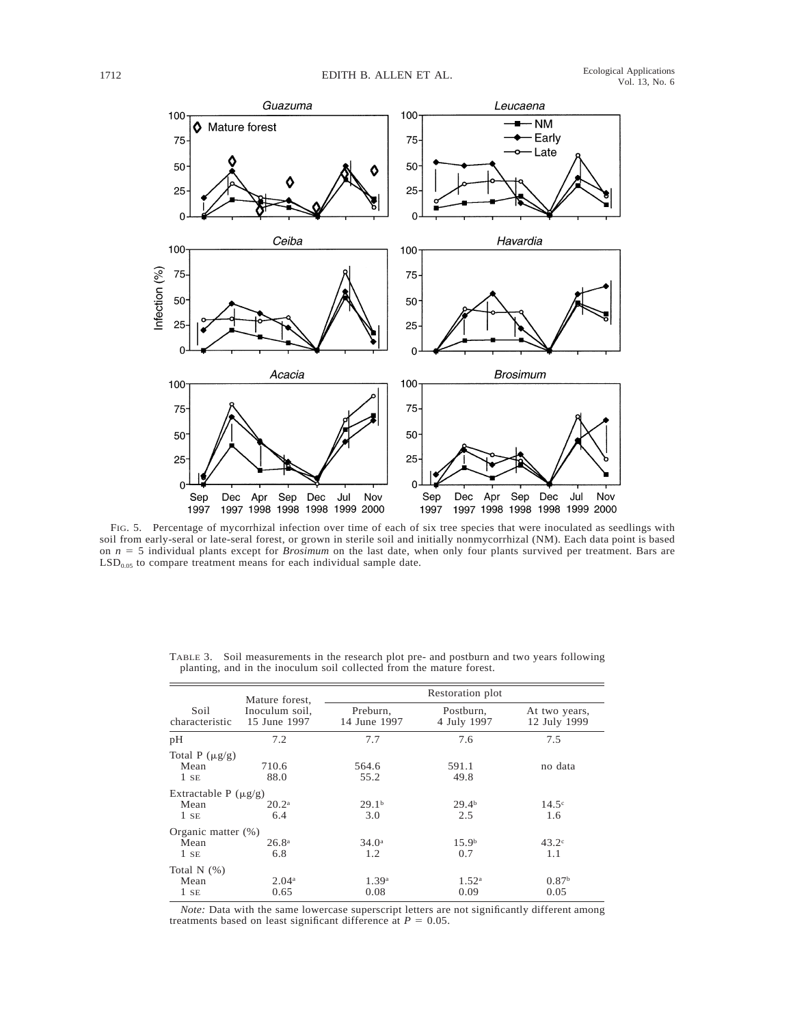

FIG. 5. Percentage of mycorrhizal infection over time of each of six tree species that were inoculated as seedlings with soil from early-seral or late-seral forest, or grown in sterile soil and initially nonmycorrhizal (NM). Each data point is based on *n* 5 5 individual plants except for *Brosimum* on the last date, when only four plants survived per treatment. Bars are  $LSD<sub>0.05</sub>$  to compare treatment means for each individual sample date.

|                                             | Mature forest,                 | Restoration plot          |                           |                               |  |  |
|---------------------------------------------|--------------------------------|---------------------------|---------------------------|-------------------------------|--|--|
| Soil<br>characteristic                      | Inoculum soil,<br>15 June 1997 | Preburn,<br>14 June 1997  | Postburn,<br>4 July 1997  | At two years,<br>12 July 1999 |  |  |
| pH                                          | 7.2                            | 7.7                       | 7.6                       | 7.5                           |  |  |
| Total P $(\mu g/g)$<br>Mean<br>$1$ SE       | 710.6<br>88.0                  | 564.6<br>55.2             | 591.1<br>49.8             | no data                       |  |  |
| Extractable P $(\mu g/g)$<br>Mean<br>$1$ SE | $20.2^{\rm a}$<br>6.4          | 29.1 <sup>b</sup><br>3.0  | 29.4 <sup>b</sup><br>2.5  | $14.5^\circ$<br>1.6           |  |  |
| Organic matter (%)<br>Mean<br>$1$ SE        | 26.8 <sup>a</sup><br>6.8       | 34.0 <sup>a</sup><br>1.2  | 15.9 <sup>b</sup><br>0.7  | $43.2^\circ$<br>1.1           |  |  |
| Total $N$ $(\%)$<br>Mean<br>$1$ SE          | 2.04 <sup>a</sup><br>0.65      | 1.39 <sup>a</sup><br>0.08 | 1.52 <sup>a</sup><br>0.09 | 0.87 <sup>b</sup><br>0.05     |  |  |

TABLE 3. Soil measurements in the research plot pre- and postburn and two years following planting, and in the inoculum soil collected from the mature forest.

*Note:* Data with the same lowercase superscript letters are not significantly different among treatments based on least significant difference at  $P = 0.05$ .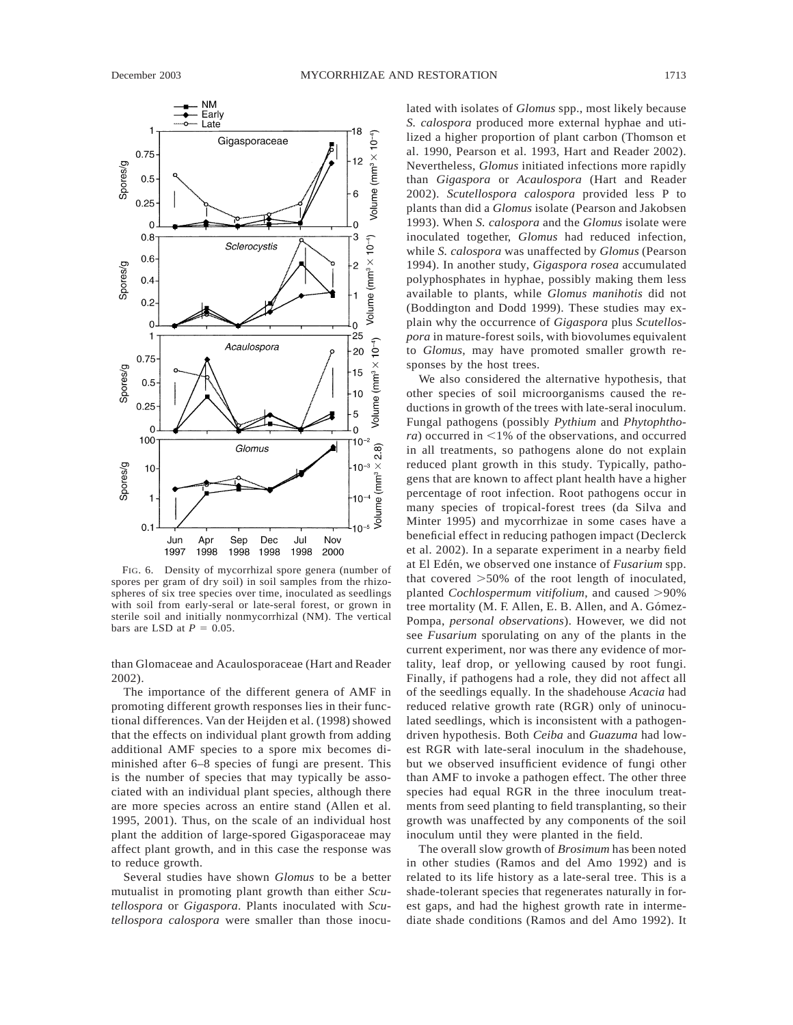

FIG. 6. Density of mycorrhizal spore genera (number of spores per gram of dry soil) in soil samples from the rhizospheres of six tree species over time, inoculated as seedlings with soil from early-seral or late-seral forest, or grown in sterile soil and initially nonmycorrhizal (NM). The vertical bars are LSD at  $P = 0.05$ .

than Glomaceae and Acaulosporaceae (Hart and Reader 2002).

The importance of the different genera of AMF in promoting different growth responses lies in their functional differences. Van der Heijden et al. (1998) showed that the effects on individual plant growth from adding additional AMF species to a spore mix becomes diminished after 6–8 species of fungi are present. This is the number of species that may typically be associated with an individual plant species, although there are more species across an entire stand (Allen et al. 1995, 2001). Thus, on the scale of an individual host plant the addition of large-spored Gigasporaceae may affect plant growth, and in this case the response was to reduce growth.

Several studies have shown *Glomus* to be a better mutualist in promoting plant growth than either *Scutellospora* or *Gigaspora*. Plants inoculated with *Scutellospora calospora* were smaller than those inocu-

lated with isolates of *Glomus* spp., most likely because *S. calospora* produced more external hyphae and utilized a higher proportion of plant carbon (Thomson et al. 1990, Pearson et al. 1993, Hart and Reader 2002). Nevertheless, *Glomus* initiated infections more rapidly than *Gigaspora* or *Acaulospora* (Hart and Reader 2002). *Scutellospora calospora* provided less P to plants than did a *Glomus* isolate (Pearson and Jakobsen 1993). When *S. calospora* and the *Glomus* isolate were inoculated together, *Glomus* had reduced infection, while *S. calospora* was unaffected by *Glomus* (Pearson 1994). In another study, *Gigaspora rosea* accumulated polyphosphates in hyphae, possibly making them less available to plants, while *Glomus manihotis* did not (Boddington and Dodd 1999). These studies may explain why the occurrence of *Gigaspora* plus *Scutellospora* in mature-forest soils, with biovolumes equivalent to *Glomus*, may have promoted smaller growth responses by the host trees.

We also considered the alternative hypothesis, that other species of soil microorganisms caused the reductions in growth of the trees with late-seral inoculum. Fungal pathogens (possibly *Pythium* and *Phytophthora*) occurred in  $\leq$ 1% of the observations, and occurred in all treatments, so pathogens alone do not explain reduced plant growth in this study. Typically, pathogens that are known to affect plant health have a higher percentage of root infection. Root pathogens occur in many species of tropical-forest trees (da Silva and Minter 1995) and mycorrhizae in some cases have a beneficial effect in reducing pathogen impact (Declerck et al. 2002). In a separate experiment in a nearby field at El Edén, we observed one instance of *Fusarium* spp. that covered  $>50\%$  of the root length of inoculated, planted *Cochlospermum vitifolium*, and caused >90% tree mortality (M. F. Allen, E. B. Allen, and A. Gómez-Pompa, *personal observations*). However, we did not see *Fusarium* sporulating on any of the plants in the current experiment, nor was there any evidence of mortality, leaf drop, or yellowing caused by root fungi. Finally, if pathogens had a role, they did not affect all of the seedlings equally. In the shadehouse *Acacia* had reduced relative growth rate (RGR) only of uninoculated seedlings, which is inconsistent with a pathogendriven hypothesis. Both *Ceiba* and *Guazuma* had lowest RGR with late-seral inoculum in the shadehouse, but we observed insufficient evidence of fungi other than AMF to invoke a pathogen effect. The other three species had equal RGR in the three inoculum treatments from seed planting to field transplanting, so their growth was unaffected by any components of the soil inoculum until they were planted in the field.

The overall slow growth of *Brosimum* has been noted in other studies (Ramos and del Amo 1992) and is related to its life history as a late-seral tree. This is a shade-tolerant species that regenerates naturally in forest gaps, and had the highest growth rate in intermediate shade conditions (Ramos and del Amo 1992). It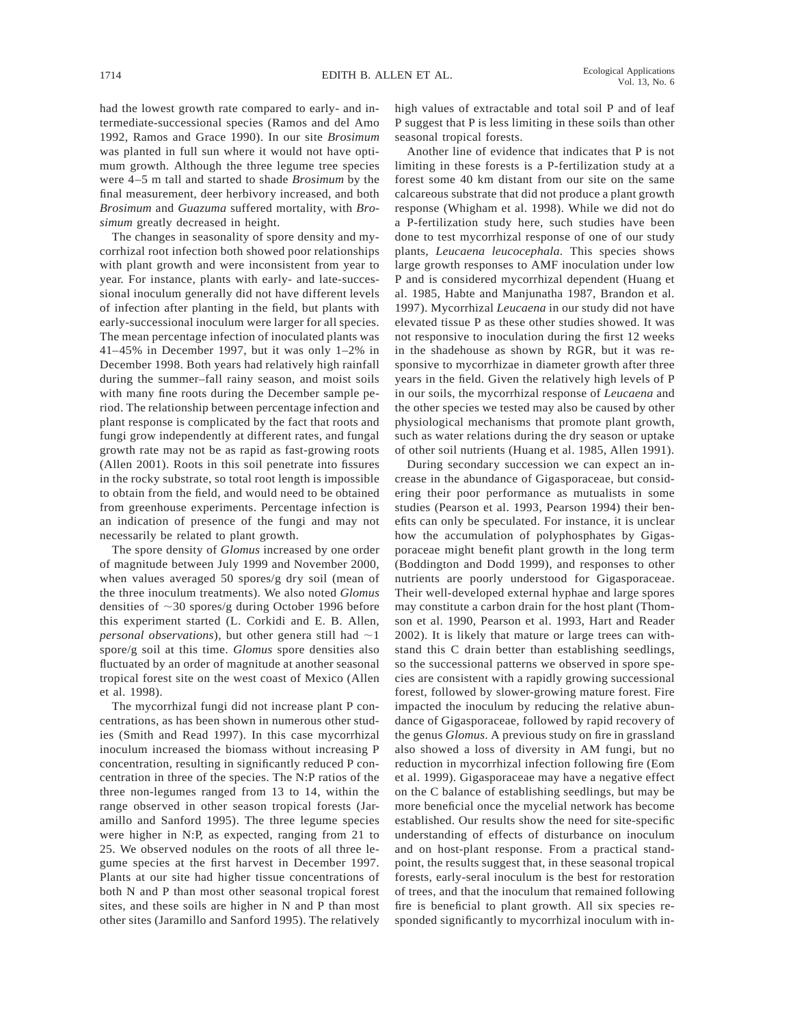had the lowest growth rate compared to early- and intermediate-successional species (Ramos and del Amo 1992, Ramos and Grace 1990). In our site *Brosimum* was planted in full sun where it would not have optimum growth. Although the three legume tree species were 4–5 m tall and started to shade *Brosimum* by the final measurement, deer herbivory increased, and both *Brosimum* and *Guazuma* suffered mortality, with *Brosimum* greatly decreased in height.

The changes in seasonality of spore density and mycorrhizal root infection both showed poor relationships with plant growth and were inconsistent from year to year. For instance, plants with early- and late-successional inoculum generally did not have different levels of infection after planting in the field, but plants with early-successional inoculum were larger for all species. The mean percentage infection of inoculated plants was 41–45% in December 1997, but it was only 1–2% in December 1998. Both years had relatively high rainfall during the summer–fall rainy season, and moist soils with many fine roots during the December sample period. The relationship between percentage infection and plant response is complicated by the fact that roots and fungi grow independently at different rates, and fungal growth rate may not be as rapid as fast-growing roots (Allen 2001). Roots in this soil penetrate into fissures in the rocky substrate, so total root length is impossible to obtain from the field, and would need to be obtained from greenhouse experiments. Percentage infection is an indication of presence of the fungi and may not necessarily be related to plant growth.

The spore density of *Glomus* increased by one order of magnitude between July 1999 and November 2000, when values averaged 50 spores/g dry soil (mean of the three inoculum treatments). We also noted *Glomus* densities of  $\sim$ 30 spores/g during October 1996 before this experiment started (L. Corkidi and E. B. Allen, *personal observations*), but other genera still had  $\sim$ 1 spore/g soil at this time. *Glomus* spore densities also fluctuated by an order of magnitude at another seasonal tropical forest site on the west coast of Mexico (Allen et al. 1998).

The mycorrhizal fungi did not increase plant P concentrations, as has been shown in numerous other studies (Smith and Read 1997). In this case mycorrhizal inoculum increased the biomass without increasing P concentration, resulting in significantly reduced P concentration in three of the species. The N:P ratios of the three non-legumes ranged from 13 to 14, within the range observed in other season tropical forests (Jaramillo and Sanford 1995). The three legume species were higher in N:P, as expected, ranging from 21 to 25. We observed nodules on the roots of all three legume species at the first harvest in December 1997. Plants at our site had higher tissue concentrations of both N and P than most other seasonal tropical forest sites, and these soils are higher in N and P than most other sites (Jaramillo and Sanford 1995). The relatively

high values of extractable and total soil P and of leaf P suggest that P is less limiting in these soils than other seasonal tropical forests.

Another line of evidence that indicates that P is not limiting in these forests is a P-fertilization study at a forest some 40 km distant from our site on the same calcareous substrate that did not produce a plant growth response (Whigham et al. 1998). While we did not do a P-fertilization study here, such studies have been done to test mycorrhizal response of one of our study plants, *Leucaena leucocephala*. This species shows large growth responses to AMF inoculation under low P and is considered mycorrhizal dependent (Huang et al. 1985, Habte and Manjunatha 1987, Brandon et al. 1997). Mycorrhizal *Leucaena* in our study did not have elevated tissue P as these other studies showed. It was not responsive to inoculation during the first 12 weeks in the shadehouse as shown by RGR, but it was responsive to mycorrhizae in diameter growth after three years in the field. Given the relatively high levels of P in our soils, the mycorrhizal response of *Leucaena* and the other species we tested may also be caused by other physiological mechanisms that promote plant growth, such as water relations during the dry season or uptake of other soil nutrients (Huang et al. 1985, Allen 1991).

During secondary succession we can expect an increase in the abundance of Gigasporaceae, but considering their poor performance as mutualists in some studies (Pearson et al. 1993, Pearson 1994) their benefits can only be speculated. For instance, it is unclear how the accumulation of polyphosphates by Gigasporaceae might benefit plant growth in the long term (Boddington and Dodd 1999), and responses to other nutrients are poorly understood for Gigasporaceae. Their well-developed external hyphae and large spores may constitute a carbon drain for the host plant (Thomson et al. 1990, Pearson et al. 1993, Hart and Reader 2002). It is likely that mature or large trees can withstand this C drain better than establishing seedlings, so the successional patterns we observed in spore species are consistent with a rapidly growing successional forest, followed by slower-growing mature forest. Fire impacted the inoculum by reducing the relative abundance of Gigasporaceae, followed by rapid recovery of the genus *Glomus*. A previous study on fire in grassland also showed a loss of diversity in AM fungi, but no reduction in mycorrhizal infection following fire (Eom et al. 1999). Gigasporaceae may have a negative effect on the C balance of establishing seedlings, but may be more beneficial once the mycelial network has become established. Our results show the need for site-specific understanding of effects of disturbance on inoculum and on host-plant response. From a practical standpoint, the results suggest that, in these seasonal tropical forests, early-seral inoculum is the best for restoration of trees, and that the inoculum that remained following fire is beneficial to plant growth. All six species responded significantly to mycorrhizal inoculum with in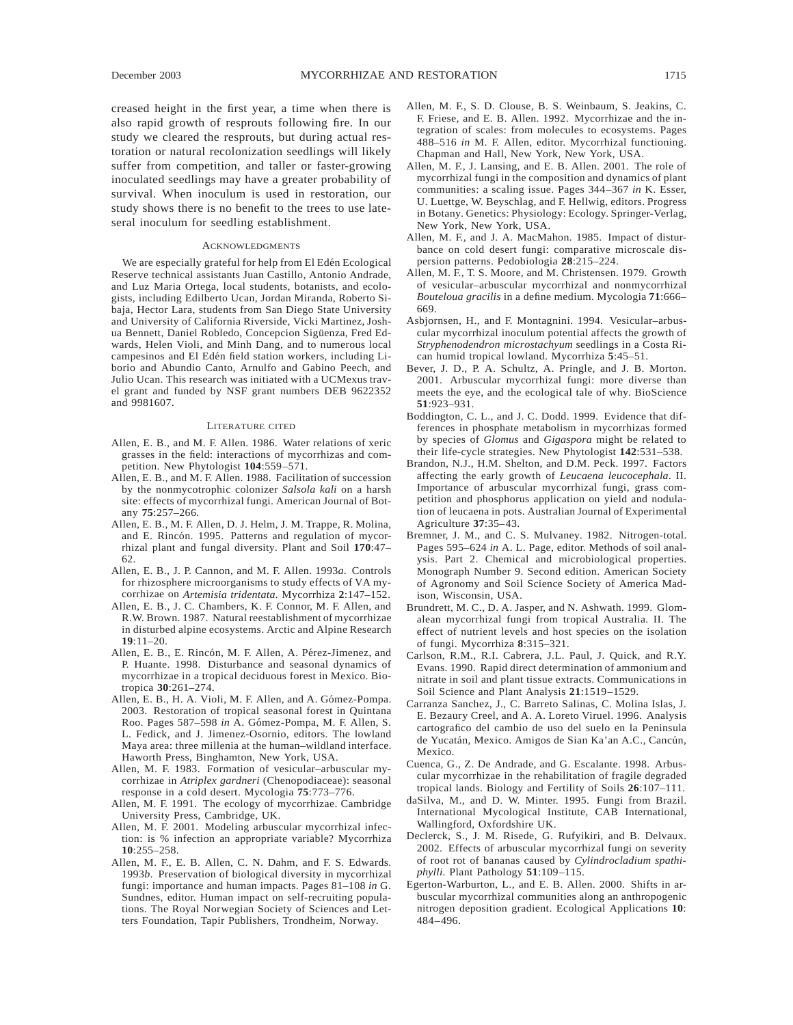creased height in the first year, a time when there is also rapid growth of resprouts following fire. In our study we cleared the resprouts, but during actual restoration or natural recolonization seedlings will likely suffer from competition, and taller or faster-growing inoculated seedlings may have a greater probability of survival. When inoculum is used in restoration, our study shows there is no benefit to the trees to use lateseral inoculum for seedling establishment.

#### **ACKNOWLEDGMENTS**

We are especially grateful for help from El Edén Ecological Reserve technical assistants Juan Castillo, Antonio Andrade, and Luz Maria Ortega, local students, botanists, and ecologists, including Edilberto Ucan, Jordan Miranda, Roberto Sibaja, Hector Lara, students from San Diego State University and University of California Riverside, Vicki Martinez, Joshua Bennett, Daniel Robledo, Concepcion Sigüenza, Fred Edwards, Helen Violi, and Minh Dang, and to numerous local campesinos and El Edén field station workers, including Liborio and Abundio Canto, Arnulfo and Gabino Peech, and Julio Ucan. This research was initiated with a UCMexus travel grant and funded by NSF grant numbers DEB 9622352 and 9981607.

#### LITERATURE CITED

- Allen, E. B., and M. F. Allen. 1986. Water relations of xeric grasses in the field: interactions of mycorrhizas and competition. New Phytologist **104**:559–571.
- Allen, E. B., and M. F. Allen. 1988. Facilitation of succession by the nonmycotrophic colonizer *Salsola kali* on a harsh site: effects of mycorrhizal fungi. American Journal of Botany **75**:257–266.
- Allen, E. B., M. F. Allen, D. J. Helm, J. M. Trappe, R. Molina, and E. Rincón. 1995. Patterns and regulation of mycorrhizal plant and fungal diversity. Plant and Soil **170**:47– 62.
- Allen, E. B., J. P. Cannon, and M. F. Allen. 1993*a*. Controls for rhizosphere microorganisms to study effects of VA mycorrhizae on *Artemisia tridentata*. Mycorrhiza **2**:147–152.
- Allen, E. B., J. C. Chambers, K. F. Connor, M. F. Allen, and R.W. Brown. 1987. Natural reestablishment of mycorrhizae in disturbed alpine ecosystems. Arctic and Alpine Research **19**:11–20.
- Allen, E. B., E. Rincón, M. F. Allen, A. Pérez-Jimenez, and P. Huante. 1998. Disturbance and seasonal dynamics of mycorrhizae in a tropical deciduous forest in Mexico. Biotropica **30**:261–274.
- Allen, E. B., H. A. Violi, M. F. Allen, and A. Gómez-Pompa. 2003. Restoration of tropical seasonal forest in Quintana Roo. Pages 587-598 in A. Gómez-Pompa, M. F. Allen, S. L. Fedick, and J. Jimenez-Osornio, editors. The lowland Maya area: three millenia at the human–wildland interface. Haworth Press, Binghamton, New York, USA.
- Allen, M. F. 1983. Formation of vesicular–arbuscular mycorrhizae in *Atriplex gardneri* (Chenopodiaceae): seasonal response in a cold desert. Mycologia **75**:773–776.
- Allen, M. F. 1991. The ecology of mycorrhizae. Cambridge University Press, Cambridge, UK.
- Allen, M. F. 2001. Modeling arbuscular mycorrhizal infection: is % infection an appropriate variable? Mycorrhiza **10**:255–258.
- Allen, M. F., E. B. Allen, C. N. Dahm, and F. S. Edwards. 1993*b*. Preservation of biological diversity in mycorrhizal fungi: importance and human impacts. Pages 81–108 *in* G. Sundnes, editor. Human impact on self-recruiting populations. The Royal Norwegian Society of Sciences and Letters Foundation, Tapir Publishers, Trondheim, Norway.
- Allen, M. F., S. D. Clouse, B. S. Weinbaum, S. Jeakins, C. F. Friese, and E. B. Allen. 1992. Mycorrhizae and the integration of scales: from molecules to ecosystems. Pages 488–516 *in* M. F. Allen, editor. Mycorrhizal functioning. Chapman and Hall, New York, New York, USA.
- Allen, M. F., J. Lansing, and E. B. Allen. 2001. The role of mycorrhizal fungi in the composition and dynamics of plant communities: a scaling issue. Pages 344–367 *in* K. Esser, U. Luettge, W. Beyschlag, and F. Hellwig, editors. Progress in Botany. Genetics: Physiology: Ecology. Springer-Verlag, New York, New York, USA.
- Allen, M. F., and J. A. MacMahon. 1985. Impact of disturbance on cold desert fungi: comparative microscale dispersion patterns. Pedobiologia **28**:215–224.
- Allen, M. F., T. S. Moore, and M. Christensen. 1979. Growth of vesicular–arbuscular mycorrhizal and nonmycorrhizal *Bouteloua gracilis* in a define medium. Mycologia **71**:666– 669.
- Asbjornsen, H., and F. Montagnini. 1994. Vesicular–arbuscular mycorrhizal inoculum potential affects the growth of *Stryphenodendron microstachyum* seedlings in a Costa Rican humid tropical lowland. Mycorrhiza **5**:45–51.
- Bever, J. D., P. A. Schultz, A. Pringle, and J. B. Morton. 2001. Arbuscular mycorrhizal fungi: more diverse than meets the eye, and the ecological tale of why. BioScience **51**:923–931.
- Boddington, C. L., and J. C. Dodd. 1999. Evidence that differences in phosphate metabolism in mycorrhizas formed by species of *Glomus* and *Gigaspora* might be related to their life-cycle strategies. New Phytologist **142**:531–538.
- Brandon, N.J., H.M. Shelton, and D.M. Peck. 1997. Factors affecting the early growth of *Leucaena leucocephala*. II. Importance of arbuscular mycorrhizal fungi, grass competition and phosphorus application on yield and nodulation of leucaena in pots. Australian Journal of Experimental Agriculture **37**:35–43.
- Bremner, J. M., and C. S. Mulvaney. 1982. Nitrogen-total. Pages 595–624 *in* A. L. Page, editor. Methods of soil analysis. Part 2. Chemical and microbiological properties. Monograph Number 9. Second edition. American Society of Agronomy and Soil Science Society of America Madison, Wisconsin, USA.
- Brundrett, M. C., D. A. Jasper, and N. Ashwath. 1999. Glomalean mycorrhizal fungi from tropical Australia. II. The effect of nutrient levels and host species on the isolation of fungi. Mycorrhiza **8**:315–321.
- Carlson, R.M., R.I. Cabrera, J.L. Paul, J. Quick, and R.Y. Evans. 1990. Rapid direct determination of ammonium and nitrate in soil and plant tissue extracts. Communications in Soil Science and Plant Analysis **21**:1519–1529.
- Carranza Sanchez, J., C. Barreto Salinas, C. Molina Islas, J. E. Bezaury Creel, and A. A. Loreto Viruel. 1996. Analysis cartografico del cambio de uso del suelo en la Peninsula de Yucatán, Mexico. Amigos de Sian Ka'an A.C., Cancún, Mexico.
- Cuenca, G., Z. De Andrade, and G. Escalante. 1998. Arbuscular mycorrhizae in the rehabilitation of fragile degraded tropical lands. Biology and Fertility of Soils **26**:107–111.
- daSilva, M., and D. W. Minter. 1995. Fungi from Brazil. International Mycological Institute, CAB International, Wallingford, Oxfordshire UK.
- Declerck, S., J. M. Risede, G. Rufyikiri, and B. Delvaux. 2002. Effects of arbuscular mycorrhizal fungi on severity of root rot of bananas caused by *Cylindrocladium spathiphylli*. Plant Pathology **51**:109–115.
- Egerton-Warburton, L., and E. B. Allen. 2000. Shifts in arbuscular mycorrhizal communities along an anthropogenic nitrogen deposition gradient. Ecological Applications **10**: 484–496.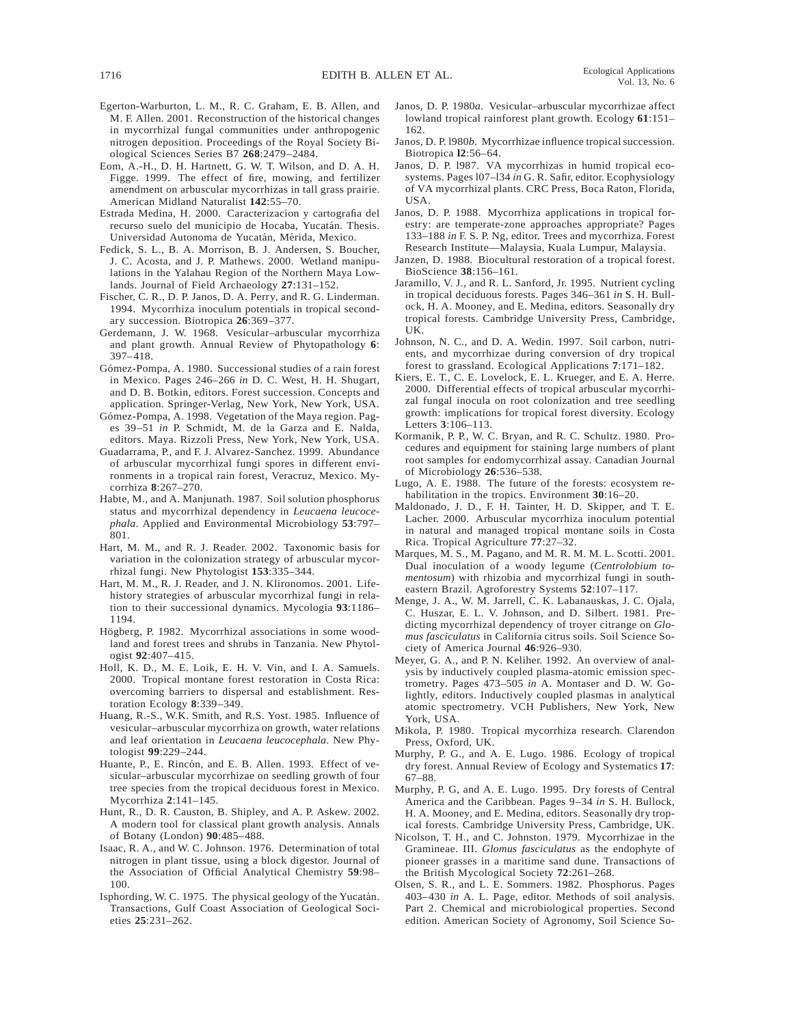- Egerton-Warburton, L. M., R. C. Graham, E. B. Allen, and M. F. Allen. 2001. Reconstruction of the historical changes in mycorrhizal fungal communities under anthropogenic nitrogen deposition. Proceedings of the Royal Society Biological Sciences Series B7 **268**:2479–2484.
- Eom, A.-H., D. H. Hartnett, G. W. T. Wilson, and D. A. H. Figge. 1999. The effect of fire, mowing, and fertilizer amendment on arbuscular mycorrhizas in tall grass prairie. American Midland Naturalist **142**:55–70.
- Estrada Medina, H. 2000. Caracterizacion y cartografia del recurso suelo del municipio de Hocaba, Yucatán. Thesis. Universidad Autonoma de Yucatán, Mérida, Mexico.
- Fedick, S. L., B. A. Morrison, B. J. Andersen, S. Boucher, J. C. Acosta, and J. P. Mathews. 2000. Wetland manipulations in the Yalahau Region of the Northern Maya Lowlands. Journal of Field Archaeology **27**:131–152.
- Fischer, C. R., D. P. Janos, D. A. Perry, and R. G. Linderman. 1994. Mycorrhiza inoculum potentials in tropical secondary succession. Biotropica **26**:369–377.
- Gerdemann, J. W. 1968. Vesicular–arbuscular mycorrhiza and plant growth. Annual Review of Phytopathology **6**: 397–418.
- Gómez-Pompa, A. 1980. Successional studies of a rain forest in Mexico. Pages 246–266 *in* D. C. West, H. H. Shugart, and D. B. Botkin, editors. Forest succession. Concepts and application. Springer-Verlag, New York, New York, USA.
- Gómez-Pompa, A. 1998. Vegetation of the Maya region. Pages 39–51 *in* P. Schmidt, M. de la Garza and E. Nalda, editors. Maya. Rizzoli Press, New York, New York, USA.
- Guadarrama, P., and F. J. Alvarez-Sanchez. 1999. Abundance of arbuscular mycorrhizal fungi spores in different environments in a tropical rain forest, Veracruz, Mexico. Mycorrhiza **8**:267–270.
- Habte, M., and A. Manjunath. 1987. Soil solution phosphorus status and mycorrhizal dependency in *Leucaena leucocephala*. Applied and Environmental Microbiology **53**:797– 801.
- Hart, M. M., and R. J. Reader. 2002. Taxonomic basis for variation in the colonization strategy of arbuscular mycorrhizal fungi. New Phytologist **153**:335–344.
- Hart, M. M., R. J. Reader, and J. N. Klironomos. 2001. Lifehistory strategies of arbuscular mycorrhizal fungi in relation to their successional dynamics. Mycologia **93**:1186– 1194.
- Högberg, P. 1982. Mycorrhizal associations in some woodland and forest trees and shrubs in Tanzania. New Phytologist **92**:407–415.
- Holl, K. D., M. E. Loik, E. H. V. Vin, and I. A. Samuels. 2000. Tropical montane forest restoration in Costa Rica: overcoming barriers to dispersal and establishment. Restoration Ecology **8**:339–349.
- Huang, R.-S., W.K. Smith, and R.S. Yost. 1985. Influence of vesicular–arbuscular mycorrhiza on growth, water relations and leaf orientation in *Leucaena leucocephala*. New Phytologist **99**:229–244.
- Huante, P., E. Rincón, and E. B. Allen. 1993. Effect of vesicular–arbuscular mycorrhizae on seedling growth of four tree species from the tropical deciduous forest in Mexico. Mycorrhiza **2**:141–145.
- Hunt, R., D. R. Causton, B. Shipley, and A. P. Askew. 2002. A modern tool for classical plant growth analysis. Annals of Botany (London) **90**:485–488.
- Isaac, R. A., and W. C. Johnson. 1976. Determination of total nitrogen in plant tissue, using a block digestor. Journal of the Association of Official Analytical Chemistry **59**:98– 100.
- Isphording, W. C. 1975. The physical geology of the Yucatán. Transactions, Gulf Coast Association of Geological Societies **25**:231–262.
- Janos, D. P. 1980*a*. Vesicular–arbuscular mycorrhizae affect lowland tropical rainforest plant growth. Ecology **61**:151– 162.
- Janos, D. P. l980*b*. Mycorrhizae influence tropical succession. Biotropica **l2**:56–64.
- Janos, D. P. l987. VA mycorrhizas in humid tropical ecosystems. Pages l07–l34 *in* G. R. Safir, editor. Ecophysiology of VA mycorrhizal plants. CRC Press, Boca Raton, Florida, USA.
- Janos, D. P. 1988. Mycorrhiza applications in tropical forestry: are temperate-zone approaches appropriate? Pages 133–188 *in* F. S. P. Ng, editor. Trees and mycorrhiza. Forest Research Institute—Malaysia, Kuala Lumpur, Malaysia.
- Janzen, D. 1988. Biocultural restoration of a tropical forest. BioScience **38**:156–161.
- Jaramillo, V. J., and R. L. Sanford, Jr. 1995. Nutrient cycling in tropical deciduous forests. Pages 346–361 *in* S. H. Bullock, H. A. Mooney, and E. Medina, editors. Seasonally dry tropical forests. Cambridge University Press, Cambridge, UK.
- Johnson, N. C., and D. A. Wedin. 1997. Soil carbon, nutrients, and mycorrhizae during conversion of dry tropical forest to grassland. Ecological Applications **7**:171–182.
- Kiers, E. T., C. E. Lovelock, E. L. Krueger, and E. A. Herre. 2000. Differential effects of tropical arbuscular mycorrhizal fungal inocula on root colonization and tree seedling growth: implications for tropical forest diversity. Ecology Letters **3**:106–113.
- Kormanik, P. P., W. C. Bryan, and R. C. Schultz. 1980. Procedures and equipment for staining large numbers of plant root samples for endomycorrhizal assay. Canadian Journal of Microbiology **26**:536–538.
- Lugo, A. E. 1988. The future of the forests: ecosystem rehabilitation in the tropics. Environment **30**:16–20.
- Maldonado, J. D., F. H. Tainter, H. D. Skipper, and T. E. Lacher. 2000. Arbuscular mycorrhiza inoculum potential in natural and managed tropical montane soils in Costa Rica. Tropical Agriculture **77**:27–32.
- Marques, M. S., M. Pagano, and M. R. M. M. L. Scotti. 2001. Dual inoculation of a woody legume (*Centrolobium tomentosum*) with rhizobia and mycorrhizal fungi in southeastern Brazil. Agroforestry Systems **52**:107–117.
- Menge, J. A., W. M. Jarrell, C. K. Labanauskas, J. C. Ojala, C. Huszar, E. L. V. Johnson, and D. Silbert. 1981. Predicting mycorrhizal dependency of troyer citrange on *Glomus fasciculatus* in California citrus soils. Soil Science Society of America Journal **46**:926–930.
- Meyer, G. A., and P. N. Keliher. 1992. An overview of analysis by inductively coupled plasma-atomic emission spectrometry. Pages 473–505 *in* A. Montaser and D. W. Golightly, editors. Inductively coupled plasmas in analytical atomic spectrometry. VCH Publishers, New York, New York, USA.
- Mikola, P. 1980. Tropical mycorrhiza research. Clarendon Press, Oxford, UK.
- Murphy, P. G., and A. E. Lugo. 1986. Ecology of tropical dry forest. Annual Review of Ecology and Systematics **17**: 67–88.
- Murphy, P. G, and A. E. Lugo. 1995. Dry forests of Central America and the Caribbean. Pages 9–34 *in* S. H. Bullock, H. A. Mooney, and E. Medina, editors. Seasonally dry tropical forests. Cambridge University Press, Cambridge, UK.
- Nicolson, T. H., and C. Johnston. 1979. Mycorrhizae in the Gramineae. III. *Glomus fasciculatus* as the endophyte of pioneer grasses in a maritime sand dune. Transactions of the British Mycological Society **72**:261–268.
- Olsen, S. R., and L. E. Sommers. 1982. Phosphorus. Pages 403–430 *in* A. L. Page, editor. Methods of soil analysis. Part 2. Chemical and microbiological properties. Second edition. American Society of Agronomy, Soil Science So-